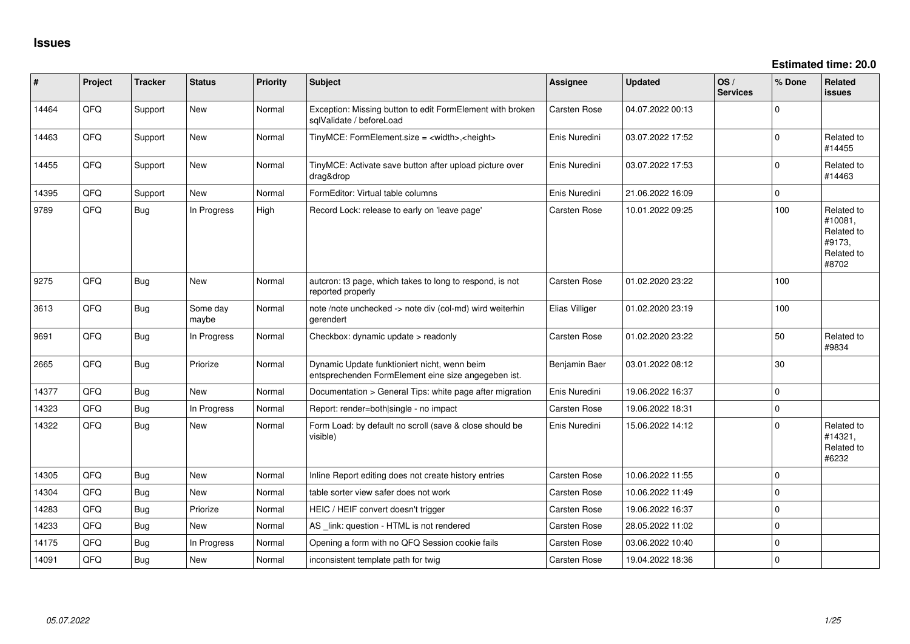| #     | Project | <b>Tracker</b> | <b>Status</b>     | <b>Priority</b> | <b>Subject</b>                                                                                      | <b>Assignee</b>     | <b>Updated</b>   | OS/<br><b>Services</b> | % Done      | Related<br><b>issues</b>                                             |
|-------|---------|----------------|-------------------|-----------------|-----------------------------------------------------------------------------------------------------|---------------------|------------------|------------------------|-------------|----------------------------------------------------------------------|
| 14464 | QFQ     | Support        | New               | Normal          | Exception: Missing button to edit FormElement with broken<br>sqlValidate / beforeLoad               | Carsten Rose        | 04.07.2022 00:13 |                        | $\Omega$    |                                                                      |
| 14463 | QFQ     | Support        | New               | Normal          | TinyMCE: FormElement.size = <width>,<height></height></width>                                       | Enis Nuredini       | 03.07.2022 17:52 |                        | $\Omega$    | Related to<br>#14455                                                 |
| 14455 | QFQ     | Support        | New               | Normal          | TinyMCE: Activate save button after upload picture over<br>drag&drop                                | Enis Nuredini       | 03.07.2022 17:53 |                        | $\mathbf 0$ | Related to<br>#14463                                                 |
| 14395 | QFQ     | Support        | <b>New</b>        | Normal          | FormEditor: Virtual table columns                                                                   | Enis Nuredini       | 21.06.2022 16:09 |                        | $\Omega$    |                                                                      |
| 9789  | QFQ     | Bug            | In Progress       | High            | Record Lock: release to early on 'leave page'                                                       | Carsten Rose        | 10.01.2022 09:25 |                        | 100         | Related to<br>#10081,<br>Related to<br>#9173,<br>Related to<br>#8702 |
| 9275  | QFQ     | <b>Bug</b>     | <b>New</b>        | Normal          | autcron: t3 page, which takes to long to respond, is not<br>reported properly                       | Carsten Rose        | 01.02.2020 23:22 |                        | 100         |                                                                      |
| 3613  | QFQ     | Bug            | Some day<br>maybe | Normal          | note /note unchecked -> note div (col-md) wird weiterhin<br>gerendert                               | Elias Villiger      | 01.02.2020 23:19 |                        | 100         |                                                                      |
| 9691  | QFQ     | Bug            | In Progress       | Normal          | Checkbox: dynamic update > readonly                                                                 | Carsten Rose        | 01.02.2020 23:22 |                        | 50          | Related to<br>#9834                                                  |
| 2665  | QFQ     | <b>Bug</b>     | Priorize          | Normal          | Dynamic Update funktioniert nicht, wenn beim<br>entsprechenden FormElement eine size angegeben ist. | Benjamin Baer       | 03.01.2022 08:12 |                        | 30          |                                                                      |
| 14377 | QFQ     | Bug            | <b>New</b>        | Normal          | Documentation > General Tips: white page after migration                                            | Enis Nuredini       | 19.06.2022 16:37 |                        | $\Omega$    |                                                                      |
| 14323 | QFQ     | Bug            | In Progress       | Normal          | Report: render=both single - no impact                                                              | <b>Carsten Rose</b> | 19.06.2022 18:31 |                        | $\Omega$    |                                                                      |
| 14322 | QFQ     | Bug            | New               | Normal          | Form Load: by default no scroll (save & close should be<br>visible)                                 | Enis Nuredini       | 15.06.2022 14:12 |                        | $\Omega$    | Related to<br>#14321,<br>Related to<br>#6232                         |
| 14305 | QFQ     | Bug            | New               | Normal          | Inline Report editing does not create history entries                                               | Carsten Rose        | 10.06.2022 11:55 |                        | $\mathbf 0$ |                                                                      |
| 14304 | QFQ     | Bug            | New               | Normal          | table sorter view safer does not work                                                               | Carsten Rose        | 10.06.2022 11:49 |                        | $\Omega$    |                                                                      |
| 14283 | QFQ     | <b>Bug</b>     | Priorize          | Normal          | HEIC / HEIF convert doesn't trigger                                                                 | Carsten Rose        | 19.06.2022 16:37 |                        | $\mathbf 0$ |                                                                      |
| 14233 | QFQ     | Bug            | <b>New</b>        | Normal          | AS link: question - HTML is not rendered                                                            | Carsten Rose        | 28.05.2022 11:02 |                        | $\Omega$    |                                                                      |
| 14175 | QFQ     | Bug            | In Progress       | Normal          | Opening a form with no QFQ Session cookie fails                                                     | Carsten Rose        | 03.06.2022 10:40 |                        | $\Omega$    |                                                                      |
| 14091 | QFQ     | Bug            | New               | Normal          | inconsistent template path for twig                                                                 | Carsten Rose        | 19.04.2022 18:36 |                        | $\Omega$    |                                                                      |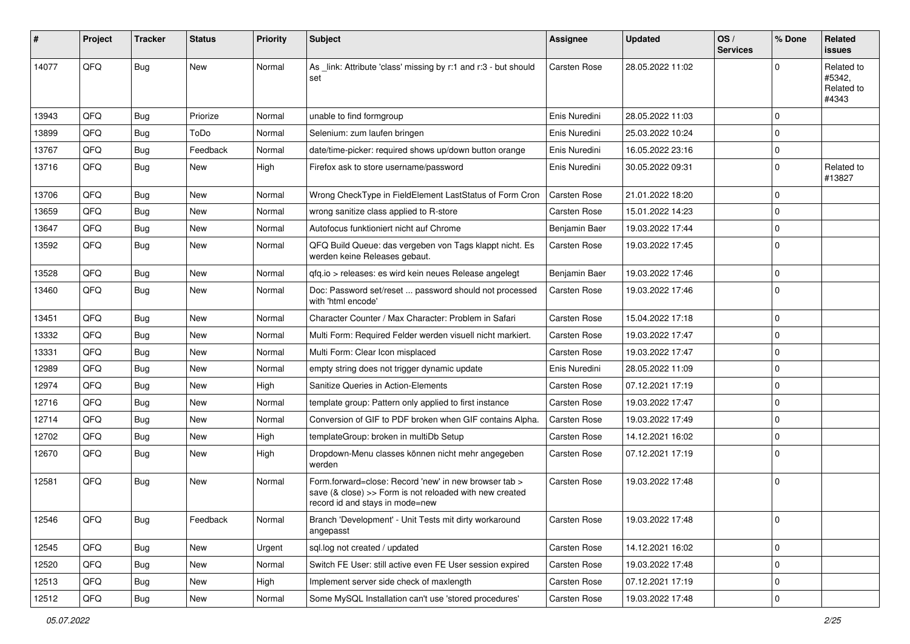| #     | Project | <b>Tracker</b> | <b>Status</b> | <b>Priority</b> | <b>Subject</b>                                                                                                                                      | <b>Assignee</b>     | <b>Updated</b>   | OS/<br><b>Services</b> | % Done              | Related<br><b>issues</b>                    |
|-------|---------|----------------|---------------|-----------------|-----------------------------------------------------------------------------------------------------------------------------------------------------|---------------------|------------------|------------------------|---------------------|---------------------------------------------|
| 14077 | QFQ     | <b>Bug</b>     | <b>New</b>    | Normal          | As _link: Attribute 'class' missing by r:1 and r:3 - but should<br>set                                                                              | <b>Carsten Rose</b> | 28.05.2022 11:02 |                        | $\Omega$            | Related to<br>#5342,<br>Related to<br>#4343 |
| 13943 | QFQ     | Bug            | Priorize      | Normal          | unable to find formgroup                                                                                                                            | Enis Nuredini       | 28.05.2022 11:03 |                        | $\mathbf 0$         |                                             |
| 13899 | QFQ     | <b>Bug</b>     | ToDo          | Normal          | Selenium: zum laufen bringen                                                                                                                        | Enis Nuredini       | 25.03.2022 10:24 |                        | $\mathbf 0$         |                                             |
| 13767 | QFQ     | <b>Bug</b>     | Feedback      | Normal          | date/time-picker: required shows up/down button orange                                                                                              | Enis Nuredini       | 16.05.2022 23:16 |                        | $\mathbf 0$         |                                             |
| 13716 | QFQ     | Bug            | <b>New</b>    | High            | Firefox ask to store username/password                                                                                                              | Enis Nuredini       | 30.05.2022 09:31 |                        | $\mathbf 0$         | Related to<br>#13827                        |
| 13706 | QFQ     | Bug            | <b>New</b>    | Normal          | Wrong CheckType in FieldElement LastStatus of Form Cron                                                                                             | <b>Carsten Rose</b> | 21.01.2022 18:20 |                        | $\mathbf 0$         |                                             |
| 13659 | QFQ     | <b>Bug</b>     | <b>New</b>    | Normal          | wrong sanitize class applied to R-store                                                                                                             | Carsten Rose        | 15.01.2022 14:23 |                        | $\mathbf 0$         |                                             |
| 13647 | QFQ     | <b>Bug</b>     | <b>New</b>    | Normal          | Autofocus funktioniert nicht auf Chrome                                                                                                             | Benjamin Baer       | 19.03.2022 17:44 |                        | $\mathbf 0$         |                                             |
| 13592 | QFQ     | Bug            | <b>New</b>    | Normal          | QFQ Build Queue: das vergeben von Tags klappt nicht. Es<br>werden keine Releases gebaut.                                                            | Carsten Rose        | 19.03.2022 17:45 |                        | $\mathbf 0$         |                                             |
| 13528 | QFQ     | Bug            | <b>New</b>    | Normal          | qfq.io > releases: es wird kein neues Release angelegt                                                                                              | Benjamin Baer       | 19.03.2022 17:46 |                        | $\mathbf 0$         |                                             |
| 13460 | QFQ     | Bug            | <b>New</b>    | Normal          | Doc: Password set/reset  password should not processed<br>with 'html encode'                                                                        | <b>Carsten Rose</b> | 19.03.2022 17:46 |                        | $\mathbf 0$         |                                             |
| 13451 | QFQ     | Bug            | <b>New</b>    | Normal          | Character Counter / Max Character: Problem in Safari                                                                                                | Carsten Rose        | 15.04.2022 17:18 |                        | $\mathbf 0$         |                                             |
| 13332 | QFQ     | <b>Bug</b>     | <b>New</b>    | Normal          | Multi Form: Required Felder werden visuell nicht markiert.                                                                                          | Carsten Rose        | 19.03.2022 17:47 |                        | $\mathbf 0$         |                                             |
| 13331 | QFQ     | Bug            | <b>New</b>    | Normal          | Multi Form: Clear Icon misplaced                                                                                                                    | <b>Carsten Rose</b> | 19.03.2022 17:47 |                        | $\mathbf 0$         |                                             |
| 12989 | QFQ     | <b>Bug</b>     | <b>New</b>    | Normal          | empty string does not trigger dynamic update                                                                                                        | Enis Nuredini       | 28.05.2022 11:09 |                        | $\pmb{0}$           |                                             |
| 12974 | QFQ     | Bug            | <b>New</b>    | High            | Sanitize Queries in Action-Elements                                                                                                                 | Carsten Rose        | 07.12.2021 17:19 |                        | $\mathbf 0$         |                                             |
| 12716 | QFQ     | <b>Bug</b>     | <b>New</b>    | Normal          | template group: Pattern only applied to first instance                                                                                              | Carsten Rose        | 19.03.2022 17:47 |                        | $\mathbf 0$         |                                             |
| 12714 | QFQ     | <b>Bug</b>     | <b>New</b>    | Normal          | Conversion of GIF to PDF broken when GIF contains Alpha.                                                                                            | Carsten Rose        | 19.03.2022 17:49 |                        | $\mathbf 0$         |                                             |
| 12702 | QFQ     | <b>Bug</b>     | <b>New</b>    | High            | templateGroup: broken in multiDb Setup                                                                                                              | <b>Carsten Rose</b> | 14.12.2021 16:02 |                        | $\mathbf 0$         |                                             |
| 12670 | QFQ     | Bug            | New           | High            | Dropdown-Menu classes können nicht mehr angegeben<br>werden                                                                                         | Carsten Rose        | 07.12.2021 17:19 |                        | $\mathbf 0$         |                                             |
| 12581 | QFQ     | Bug            | <b>New</b>    | Normal          | Form forward=close: Record 'new' in new browser tab ><br>save (& close) >> Form is not reloaded with new created<br>record id and stays in mode=new | <b>Carsten Rose</b> | 19.03.2022 17:48 |                        | $\mathbf 0$         |                                             |
| 12546 | QFQ     | Bug            | Feedback      | Normal          | Branch 'Development' - Unit Tests mit dirty workaround<br>angepasst                                                                                 | <b>Carsten Rose</b> | 19.03.2022 17:48 |                        | 0                   |                                             |
| 12545 | QFQ     | Bug            | New           | Urgent          | sql.log not created / updated                                                                                                                       | Carsten Rose        | 14.12.2021 16:02 |                        | $\mathbf 0$         |                                             |
| 12520 | QFQ     | Bug            | New           | Normal          | Switch FE User: still active even FE User session expired                                                                                           | Carsten Rose        | 19.03.2022 17:48 |                        | $\mathsf 0$         |                                             |
| 12513 | QFQ     | Bug            | New           | High            | Implement server side check of maxlength                                                                                                            | Carsten Rose        | 07.12.2021 17:19 |                        | 0                   |                                             |
| 12512 | QFQ     | Bug            | New           | Normal          | Some MySQL Installation can't use 'stored procedures'                                                                                               | Carsten Rose        | 19.03.2022 17:48 |                        | $\mathsf{O}\xspace$ |                                             |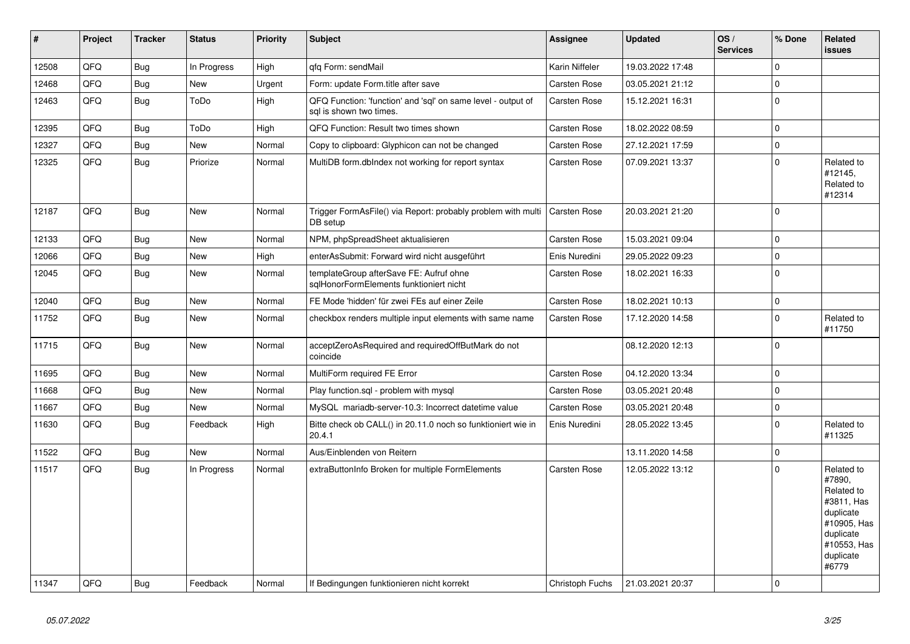| $\sharp$ | <b>Project</b> | <b>Tracker</b> | <b>Status</b> | <b>Priority</b> | <b>Subject</b>                                                                          | <b>Assignee</b>     | <b>Updated</b>   | OS/<br><b>Services</b> | % Done      | Related<br><b>issues</b>                                                                                                       |
|----------|----------------|----------------|---------------|-----------------|-----------------------------------------------------------------------------------------|---------------------|------------------|------------------------|-------------|--------------------------------------------------------------------------------------------------------------------------------|
| 12508    | QFQ            | <b>Bug</b>     | In Progress   | High            | gfg Form: sendMail                                                                      | Karin Niffeler      | 19.03.2022 17:48 |                        | $\Omega$    |                                                                                                                                |
| 12468    | QFQ            | Bug            | New           | Urgent          | Form: update Form.title after save                                                      | Carsten Rose        | 03.05.2021 21:12 |                        | $\mathbf 0$ |                                                                                                                                |
| 12463    | QFQ            | <b>Bug</b>     | ToDo          | High            | QFQ Function: 'function' and 'sql' on same level - output of<br>sal is shown two times. | Carsten Rose        | 15.12.2021 16:31 |                        | $\mathbf 0$ |                                                                                                                                |
| 12395    | QFQ            | <b>Bug</b>     | ToDo          | High            | QFQ Function: Result two times shown                                                    | Carsten Rose        | 18.02.2022 08:59 |                        | $\mathbf 0$ |                                                                                                                                |
| 12327    | QFQ            | <b>Bug</b>     | New           | Normal          | Copy to clipboard: Glyphicon can not be changed                                         | Carsten Rose        | 27.12.2021 17:59 |                        | $\pmb{0}$   |                                                                                                                                |
| 12325    | QFQ            | <b>Bug</b>     | Priorize      | Normal          | MultiDB form.dblndex not working for report syntax                                      | Carsten Rose        | 07.09.2021 13:37 |                        | $\Omega$    | Related to<br>#12145,<br>Related to<br>#12314                                                                                  |
| 12187    | QFQ            | Bug            | <b>New</b>    | Normal          | Trigger FormAsFile() via Report: probably problem with multi<br>DB setup                | Carsten Rose        | 20.03.2021 21:20 |                        | $\mathbf 0$ |                                                                                                                                |
| 12133    | QFQ            | Bug            | <b>New</b>    | Normal          | NPM, phpSpreadSheet aktualisieren                                                       | <b>Carsten Rose</b> | 15.03.2021 09:04 |                        | $\mathbf 0$ |                                                                                                                                |
| 12066    | QFQ            | <b>Bug</b>     | New           | High            | enterAsSubmit: Forward wird nicht ausgeführt                                            | Enis Nuredini       | 29.05.2022 09:23 |                        | $\mathbf 0$ |                                                                                                                                |
| 12045    | QFQ            | <b>Bug</b>     | New           | Normal          | templateGroup afterSave FE: Aufruf ohne<br>sqlHonorFormElements funktioniert nicht      | Carsten Rose        | 18.02.2021 16:33 |                        | $\mathbf 0$ |                                                                                                                                |
| 12040    | QFQ            | <b>Bug</b>     | <b>New</b>    | Normal          | FE Mode 'hidden' für zwei FEs auf einer Zeile                                           | Carsten Rose        | 18.02.2021 10:13 |                        | $\mathbf 0$ |                                                                                                                                |
| 11752    | QFQ            | <b>Bug</b>     | <b>New</b>    | Normal          | checkbox renders multiple input elements with same name                                 | <b>Carsten Rose</b> | 17.12.2020 14:58 |                        | $\mathbf 0$ | Related to<br>#11750                                                                                                           |
| 11715    | QFQ            | <b>Bug</b>     | New           | Normal          | acceptZeroAsRequired and requiredOffButMark do not<br>coincide                          |                     | 08.12.2020 12:13 |                        | $\mathbf 0$ |                                                                                                                                |
| 11695    | QFQ            | <b>Bug</b>     | <b>New</b>    | Normal          | MultiForm required FE Error                                                             | <b>Carsten Rose</b> | 04.12.2020 13:34 |                        | $\mathbf 0$ |                                                                                                                                |
| 11668    | QFQ            | <b>Bug</b>     | <b>New</b>    | Normal          | Play function.sql - problem with mysql                                                  | <b>Carsten Rose</b> | 03.05.2021 20:48 |                        | $\Omega$    |                                                                                                                                |
| 11667    | QFQ            | <b>Bug</b>     | New           | Normal          | MySQL mariadb-server-10.3: Incorrect datetime value                                     | <b>Carsten Rose</b> | 03.05.2021 20:48 |                        | $\mathbf 0$ |                                                                                                                                |
| 11630    | QFQ            | <b>Bug</b>     | Feedback      | High            | Bitte check ob CALL() in 20.11.0 noch so funktioniert wie in<br>20.4.1                  | Enis Nuredini       | 28.05.2022 13:45 |                        | $\mathbf 0$ | Related to<br>#11325                                                                                                           |
| 11522    | QFQ            | Bug            | New           | Normal          | Aus/Einblenden von Reitern                                                              |                     | 13.11.2020 14:58 |                        | $\mathbf 0$ |                                                                                                                                |
| 11517    | QFQ            | Bug            | In Progress   | Normal          | extraButtonInfo Broken for multiple FormElements                                        | <b>Carsten Rose</b> | 12.05.2022 13:12 |                        | $\Omega$    | Related to<br>#7890,<br>Related to<br>#3811, Has<br>duplicate<br>#10905, Has<br>duplicate<br>#10553, Has<br>duplicate<br>#6779 |
| 11347    | QFQ            | Bug            | Feedback      | Normal          | If Bedingungen funktionieren nicht korrekt                                              | Christoph Fuchs     | 21.03.2021 20:37 |                        | $\mathbf 0$ |                                                                                                                                |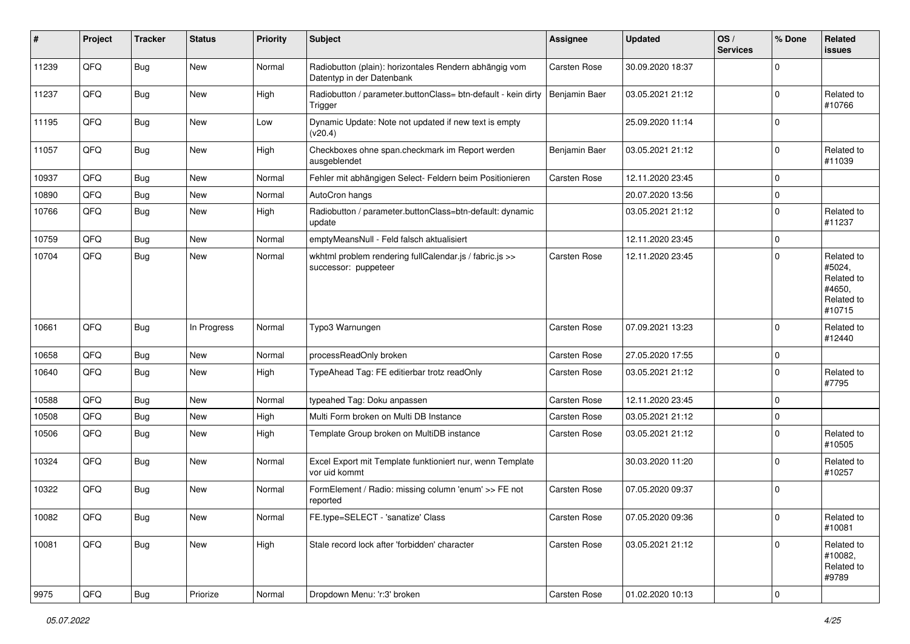| $\sharp$ | Project | <b>Tracker</b> | <b>Status</b> | <b>Priority</b> | <b>Subject</b>                                                                      | <b>Assignee</b>     | <b>Updated</b>   | OS/<br><b>Services</b> | % Done      | Related<br><b>issues</b>                                             |
|----------|---------|----------------|---------------|-----------------|-------------------------------------------------------------------------------------|---------------------|------------------|------------------------|-------------|----------------------------------------------------------------------|
| 11239    | QFQ     | Bug            | New           | Normal          | Radiobutton (plain): horizontales Rendern abhängig vom<br>Datentyp in der Datenbank | Carsten Rose        | 30.09.2020 18:37 |                        | $\Omega$    |                                                                      |
| 11237    | QFQ     | <b>Bug</b>     | <b>New</b>    | High            | Radiobutton / parameter.buttonClass= btn-default - kein dirty<br>Trigger            | Benjamin Baer       | 03.05.2021 21:12 |                        | $\mathbf 0$ | Related to<br>#10766                                                 |
| 11195    | QFQ     | Bug            | New           | Low             | Dynamic Update: Note not updated if new text is empty<br>(v20.4)                    |                     | 25.09.2020 11:14 |                        | $\mathbf 0$ |                                                                      |
| 11057    | QFQ     | Bug            | <b>New</b>    | High            | Checkboxes ohne span.checkmark im Report werden<br>ausgeblendet                     | Benjamin Baer       | 03.05.2021 21:12 |                        | $\mathbf 0$ | Related to<br>#11039                                                 |
| 10937    | QFQ     | <b>Bug</b>     | New           | Normal          | Fehler mit abhängigen Select- Feldern beim Positionieren                            | <b>Carsten Rose</b> | 12.11.2020 23:45 |                        | $\mathbf 0$ |                                                                      |
| 10890    | QFQ     | Bug            | <b>New</b>    | Normal          | AutoCron hangs                                                                      |                     | 20.07.2020 13:56 |                        | $\mathbf 0$ |                                                                      |
| 10766    | QFQ     | <b>Bug</b>     | New           | High            | Radiobutton / parameter.buttonClass=btn-default: dynamic<br>update                  |                     | 03.05.2021 21:12 |                        | $\mathbf 0$ | Related to<br>#11237                                                 |
| 10759    | QFQ     | Bug            | New           | Normal          | emptyMeansNull - Feld falsch aktualisiert                                           |                     | 12.11.2020 23:45 |                        | $\mathbf 0$ |                                                                      |
| 10704    | QFQ     | Bug            | <b>New</b>    | Normal          | wkhtml problem rendering fullCalendar.js / fabric.js >><br>successor: puppeteer     | <b>Carsten Rose</b> | 12.11.2020 23:45 |                        | $\mathbf 0$ | Related to<br>#5024,<br>Related to<br>#4650,<br>Related to<br>#10715 |
| 10661    | QFQ     | Bug            | In Progress   | Normal          | Typo3 Warnungen                                                                     | <b>Carsten Rose</b> | 07.09.2021 13:23 |                        | $\mathbf 0$ | Related to<br>#12440                                                 |
| 10658    | QFQ     | <b>Bug</b>     | New           | Normal          | processReadOnly broken                                                              | <b>Carsten Rose</b> | 27.05.2020 17:55 |                        | $\mathbf 0$ |                                                                      |
| 10640    | QFQ     | Bug            | New           | High            | TypeAhead Tag: FE editierbar trotz readOnly                                         | <b>Carsten Rose</b> | 03.05.2021 21:12 |                        | $\mathbf 0$ | Related to<br>#7795                                                  |
| 10588    | QFQ     | <b>Bug</b>     | New           | Normal          | typeahed Tag: Doku anpassen                                                         | Carsten Rose        | 12.11.2020 23:45 |                        | $\mathbf 0$ |                                                                      |
| 10508    | QFQ     | Bug            | New           | High            | Multi Form broken on Multi DB Instance                                              | Carsten Rose        | 03.05.2021 21:12 |                        | $\mathbf 0$ |                                                                      |
| 10506    | QFQ     | Bug            | New           | High            | Template Group broken on MultiDB instance                                           | Carsten Rose        | 03.05.2021 21:12 |                        | $\mathbf 0$ | Related to<br>#10505                                                 |
| 10324    | QFQ     | Bug            | New           | Normal          | Excel Export mit Template funktioniert nur, wenn Template<br>vor uid kommt          |                     | 30.03.2020 11:20 |                        | $\mathbf 0$ | Related to<br>#10257                                                 |
| 10322    | QFQ     | Bug            | New           | Normal          | FormElement / Radio: missing column 'enum' >> FE not<br>reported                    | <b>Carsten Rose</b> | 07.05.2020 09:37 |                        | $\mathbf 0$ |                                                                      |
| 10082    | QFQ     | <b>Bug</b>     | I New         | Normal          | FE.type=SELECT - 'sanatize' Class                                                   | Carsten Rose        | 07.05.2020 09:36 |                        | $\pmb{0}$   | Related to<br>#10081                                                 |
| 10081    | QFQ     | Bug            | New           | High            | Stale record lock after 'forbidden' character                                       | Carsten Rose        | 03.05.2021 21:12 |                        | $\pmb{0}$   | Related to<br>#10082,<br>Related to<br>#9789                         |
| 9975     | QFG     | <b>Bug</b>     | Priorize      | Normal          | Dropdown Menu: 'r:3' broken                                                         | Carsten Rose        | 01.02.2020 10:13 |                        | $\pmb{0}$   |                                                                      |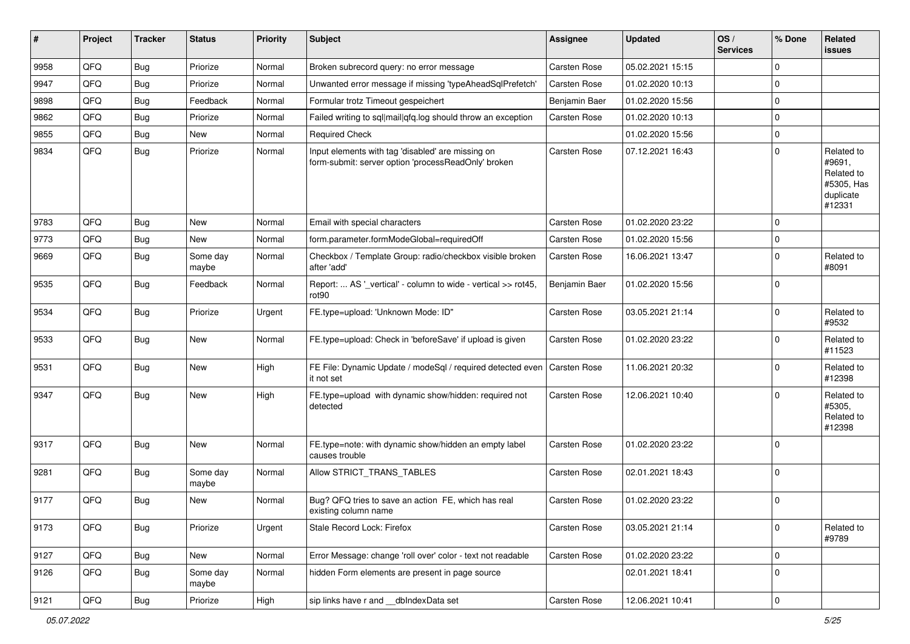| #    | Project | <b>Tracker</b> | <b>Status</b>     | <b>Priority</b> | Subject                                                                                                  | <b>Assignee</b>     | <b>Updated</b>   | OS/<br><b>Services</b> | % Done      | Related<br>issues                                                       |
|------|---------|----------------|-------------------|-----------------|----------------------------------------------------------------------------------------------------------|---------------------|------------------|------------------------|-------------|-------------------------------------------------------------------------|
| 9958 | QFQ     | <b>Bug</b>     | Priorize          | Normal          | Broken subrecord query: no error message                                                                 | Carsten Rose        | 05.02.2021 15:15 |                        | $\Omega$    |                                                                         |
| 9947 | QFQ     | Bug            | Priorize          | Normal          | Unwanted error message if missing 'typeAheadSqlPrefetch'                                                 | Carsten Rose        | 01.02.2020 10:13 |                        | $\mathbf 0$ |                                                                         |
| 9898 | QFQ     | Bug            | Feedback          | Normal          | Formular trotz Timeout gespeichert                                                                       | Benjamin Baer       | 01.02.2020 15:56 |                        | $\Omega$    |                                                                         |
| 9862 | QFQ     | Bug            | Priorize          | Normal          | Failed writing to sql mail qfq.log should throw an exception                                             | Carsten Rose        | 01.02.2020 10:13 |                        | $\Omega$    |                                                                         |
| 9855 | QFQ     | Bug            | New               | Normal          | <b>Required Check</b>                                                                                    |                     | 01.02.2020 15:56 |                        | $\Omega$    |                                                                         |
| 9834 | QFQ     | Bug            | Priorize          | Normal          | Input elements with tag 'disabled' are missing on<br>form-submit: server option 'processReadOnly' broken | Carsten Rose        | 07.12.2021 16:43 |                        | $\Omega$    | Related to<br>#9691,<br>Related to<br>#5305, Has<br>duplicate<br>#12331 |
| 9783 | QFQ     | <b>Bug</b>     | <b>New</b>        | Normal          | Email with special characters                                                                            | Carsten Rose        | 01.02.2020 23:22 |                        | $\Omega$    |                                                                         |
| 9773 | QFQ     | Bug            | New               | Normal          | form.parameter.formModeGlobal=requiredOff                                                                | <b>Carsten Rose</b> | 01.02.2020 15:56 |                        | 0           |                                                                         |
| 9669 | QFQ     | <b>Bug</b>     | Some day<br>maybe | Normal          | Checkbox / Template Group: radio/checkbox visible broken<br>after 'add'                                  | Carsten Rose        | 16.06.2021 13:47 |                        | $\Omega$    | Related to<br>#8091                                                     |
| 9535 | QFQ     | Bug            | Feedback          | Normal          | Report:  AS '_vertical' - column to wide - vertical >> rot45,<br>rot <sub>90</sub>                       | Benjamin Baer       | 01.02.2020 15:56 |                        | $\Omega$    |                                                                         |
| 9534 | QFQ     | Bug            | Priorize          | Urgent          | FE.type=upload: 'Unknown Mode: ID"                                                                       | Carsten Rose        | 03.05.2021 21:14 |                        | $\Omega$    | Related to<br>#9532                                                     |
| 9533 | QFQ     | Bug            | <b>New</b>        | Normal          | FE.type=upload: Check in 'beforeSave' if upload is given                                                 | Carsten Rose        | 01.02.2020 23:22 |                        | $\Omega$    | Related to<br>#11523                                                    |
| 9531 | QFQ     | Bug            | New               | High            | FE File: Dynamic Update / modeSql / required detected even<br>it not set                                 | <b>Carsten Rose</b> | 11.06.2021 20:32 |                        | $\Omega$    | Related to<br>#12398                                                    |
| 9347 | QFQ     | Bug            | New               | High            | FE.type=upload with dynamic show/hidden: required not<br>detected                                        | Carsten Rose        | 12.06.2021 10:40 |                        | $\Omega$    | Related to<br>#5305,<br>Related to<br>#12398                            |
| 9317 | QFQ     | <b>Bug</b>     | New               | Normal          | FE.type=note: with dynamic show/hidden an empty label<br>causes trouble                                  | Carsten Rose        | 01.02.2020 23:22 |                        | $\Omega$    |                                                                         |
| 9281 | QFQ     | Bug            | Some day<br>maybe | Normal          | Allow STRICT_TRANS_TABLES                                                                                | Carsten Rose        | 02.01.2021 18:43 |                        | $\Omega$    |                                                                         |
| 9177 | QFQ     | Bug            | New               | Normal          | Bug? QFQ tries to save an action FE, which has real<br>existing column name                              | Carsten Rose        | 01.02.2020 23:22 |                        | $\Omega$    |                                                                         |
| 9173 | QFQ     | <b>Bug</b>     | Priorize          | Urgent          | Stale Record Lock: Firefox                                                                               | Carsten Rose        | 03.05.2021 21:14 |                        | 0           | Related to<br>#9789                                                     |
| 9127 | QFQ     | Bug            | New               | Normal          | Error Message: change 'roll over' color - text not readable                                              | Carsten Rose        | 01.02.2020 23:22 |                        | $\mathbf 0$ |                                                                         |
| 9126 | QFQ     | Bug            | Some day<br>maybe | Normal          | hidden Form elements are present in page source                                                          |                     | 02.01.2021 18:41 |                        | $\Omega$    |                                                                         |
| 9121 | QFQ     | <b>Bug</b>     | Priorize          | High            | sip links have r and __dbIndexData set                                                                   | Carsten Rose        | 12.06.2021 10:41 |                        | $\pmb{0}$   |                                                                         |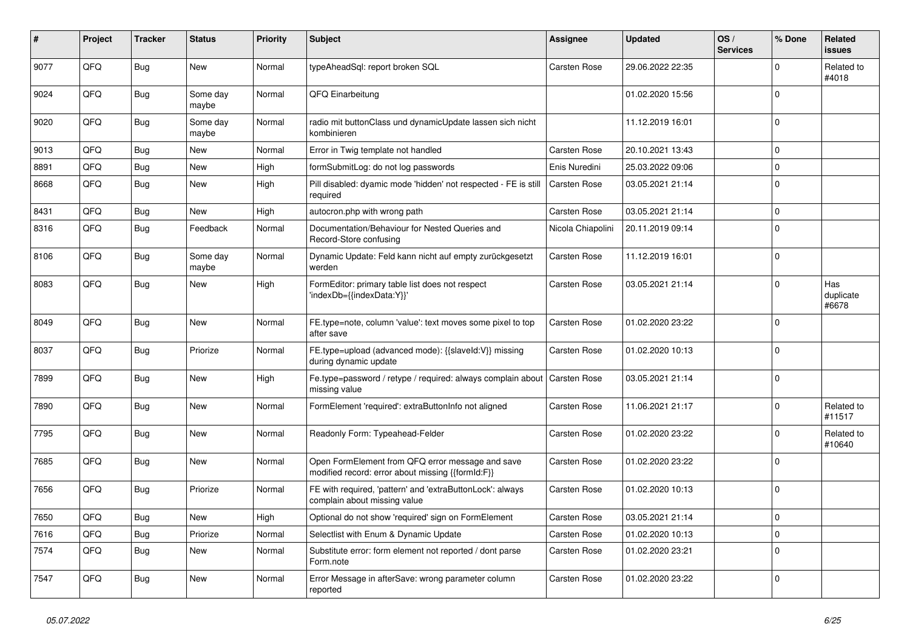| #    | Project | <b>Tracker</b> | <b>Status</b>     | <b>Priority</b> | <b>Subject</b>                                                                                        | <b>Assignee</b>     | <b>Updated</b>   | OS/<br><b>Services</b> | % Done      | <b>Related</b><br><b>issues</b> |
|------|---------|----------------|-------------------|-----------------|-------------------------------------------------------------------------------------------------------|---------------------|------------------|------------------------|-------------|---------------------------------|
| 9077 | QFQ     | <b>Bug</b>     | New               | Normal          | typeAheadSql: report broken SQL                                                                       | <b>Carsten Rose</b> | 29.06.2022 22:35 |                        | $\Omega$    | Related to<br>#4018             |
| 9024 | QFQ     | Bug            | Some day<br>maybe | Normal          | QFQ Einarbeitung                                                                                      |                     | 01.02.2020 15:56 |                        | $\Omega$    |                                 |
| 9020 | QFQ     | <b>Bug</b>     | Some day<br>maybe | Normal          | radio mit buttonClass und dynamicUpdate lassen sich nicht<br>kombinieren                              |                     | 11.12.2019 16:01 |                        | $\Omega$    |                                 |
| 9013 | QFQ     | Bug            | <b>New</b>        | Normal          | Error in Twig template not handled                                                                    | <b>Carsten Rose</b> | 20.10.2021 13:43 |                        | $\mathbf 0$ |                                 |
| 8891 | QFQ     | <b>Bug</b>     | <b>New</b>        | High            | formSubmitLog: do not log passwords                                                                   | Enis Nuredini       | 25.03.2022 09:06 |                        | $\mathbf 0$ |                                 |
| 8668 | QFQ     | Bug            | <b>New</b>        | High            | Pill disabled: dyamic mode 'hidden' not respected - FE is still<br>required                           | <b>Carsten Rose</b> | 03.05.2021 21:14 |                        | $\mathbf 0$ |                                 |
| 8431 | QFQ     | <b>Bug</b>     | <b>New</b>        | High            | autocron.php with wrong path                                                                          | Carsten Rose        | 03.05.2021 21:14 |                        | $\Omega$    |                                 |
| 8316 | QFQ     | <b>Bug</b>     | Feedback          | Normal          | Documentation/Behaviour for Nested Queries and<br>Record-Store confusing                              | Nicola Chiapolini   | 20.11.2019 09:14 |                        | $\Omega$    |                                 |
| 8106 | QFQ     | Bug            | Some day<br>maybe | Normal          | Dynamic Update: Feld kann nicht auf empty zurückgesetzt<br>werden                                     | <b>Carsten Rose</b> | 11.12.2019 16:01 |                        | $\mathbf 0$ |                                 |
| 8083 | QFQ     | Bug            | <b>New</b>        | High            | FormEditor: primary table list does not respect<br>'indexDb={{indexData:Y}}'                          | Carsten Rose        | 03.05.2021 21:14 |                        | $\mathbf 0$ | Has<br>duplicate<br>#6678       |
| 8049 | QFQ     | <b>Bug</b>     | <b>New</b>        | Normal          | FE.type=note, column 'value': text moves some pixel to top<br>after save                              | <b>Carsten Rose</b> | 01.02.2020 23:22 |                        | $\Omega$    |                                 |
| 8037 | QFQ     | Bug            | Priorize          | Normal          | FE.type=upload (advanced mode): {{slaveld:V}} missing<br>during dynamic update                        | <b>Carsten Rose</b> | 01.02.2020 10:13 |                        | $\mathbf 0$ |                                 |
| 7899 | QFQ     | Bug            | New               | High            | Fe.type=password / retype / required: always complain about<br>missing value                          | <b>Carsten Rose</b> | 03.05.2021 21:14 |                        | $\mathbf 0$ |                                 |
| 7890 | QFQ     | <b>Bug</b>     | <b>New</b>        | Normal          | FormElement 'required': extraButtonInfo not aligned                                                   | <b>Carsten Rose</b> | 11.06.2021 21:17 |                        | $\Omega$    | Related to<br>#11517            |
| 7795 | QFQ     | <b>Bug</b>     | <b>New</b>        | Normal          | Readonly Form: Typeahead-Felder                                                                       | Carsten Rose        | 01.02.2020 23:22 |                        | $\Omega$    | Related to<br>#10640            |
| 7685 | QFQ     | Bug            | New               | Normal          | Open FormElement from QFQ error message and save<br>modified record: error about missing {{formId:F}} | <b>Carsten Rose</b> | 01.02.2020 23:22 |                        | $\Omega$    |                                 |
| 7656 | QFQ     | <b>Bug</b>     | Priorize          | Normal          | FE with required, 'pattern' and 'extraButtonLock': always<br>complain about missing value             | <b>Carsten Rose</b> | 01.02.2020 10:13 |                        | $\mathbf 0$ |                                 |
| 7650 | QFQ     | <b>Bug</b>     | <b>New</b>        | High            | Optional do not show 'required' sign on FormElement                                                   | <b>Carsten Rose</b> | 03.05.2021 21:14 |                        | $\mathbf 0$ |                                 |
| 7616 | QFQ     | <b>Bug</b>     | Priorize          | Normal          | Selectlist with Enum & Dynamic Update                                                                 | Carsten Rose        | 01.02.2020 10:13 |                        | $\Omega$    |                                 |
| 7574 | QFQ     | <b>Bug</b>     | <b>New</b>        | Normal          | Substitute error: form element not reported / dont parse<br>Form.note                                 | <b>Carsten Rose</b> | 01.02.2020 23:21 |                        | $\Omega$    |                                 |
| 7547 | QFQ     | Bug            | <b>New</b>        | Normal          | Error Message in afterSave: wrong parameter column<br>reported                                        | <b>Carsten Rose</b> | 01.02.2020 23:22 |                        | $\Omega$    |                                 |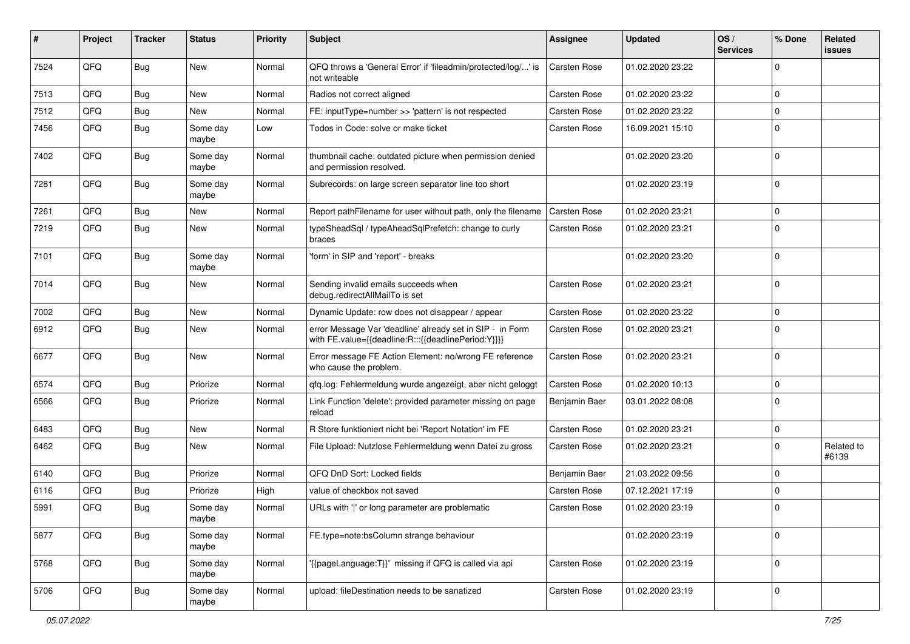| #    | Project | <b>Tracker</b> | <b>Status</b>     | <b>Priority</b> | Subject                                                                                                          | <b>Assignee</b>     | <b>Updated</b>   | OS/<br><b>Services</b> | % Done      | Related<br>issues   |
|------|---------|----------------|-------------------|-----------------|------------------------------------------------------------------------------------------------------------------|---------------------|------------------|------------------------|-------------|---------------------|
| 7524 | QFQ     | Bug            | New               | Normal          | QFQ throws a 'General Error' if 'fileadmin/protected/log/' is<br>not writeable                                   | <b>Carsten Rose</b> | 01.02.2020 23:22 |                        | 0           |                     |
| 7513 | QFQ     | <b>Bug</b>     | New               | Normal          | Radios not correct aligned                                                                                       | Carsten Rose        | 01.02.2020 23:22 |                        | $\Omega$    |                     |
| 7512 | QFQ     | Bug            | New               | Normal          | FE: inputType=number >> 'pattern' is not respected                                                               | Carsten Rose        | 01.02.2020 23:22 |                        | 0           |                     |
| 7456 | QFQ     | <b>Bug</b>     | Some day<br>maybe | Low             | Todos in Code: solve or make ticket                                                                              | Carsten Rose        | 16.09.2021 15:10 |                        | $\Omega$    |                     |
| 7402 | QFQ     | Bug            | Some day<br>maybe | Normal          | thumbnail cache: outdated picture when permission denied<br>and permission resolved.                             |                     | 01.02.2020 23:20 |                        | $\Omega$    |                     |
| 7281 | QFQ     | Bug            | Some day<br>maybe | Normal          | Subrecords: on large screen separator line too short                                                             |                     | 01.02.2020 23:19 |                        | $\mathbf 0$ |                     |
| 7261 | QFQ     | <b>Bug</b>     | New               | Normal          | Report pathFilename for user without path, only the filename                                                     | <b>Carsten Rose</b> | 01.02.2020 23:21 |                        | $\Omega$    |                     |
| 7219 | QFQ     | Bug            | New               | Normal          | typeSheadSql / typeAheadSqlPrefetch: change to curly<br>braces                                                   | Carsten Rose        | 01.02.2020 23:21 |                        | $\Omega$    |                     |
| 7101 | QFQ     | Bug            | Some day<br>maybe | Normal          | 'form' in SIP and 'report' - breaks                                                                              |                     | 01.02.2020 23:20 |                        | $\Omega$    |                     |
| 7014 | QFQ     | Bug            | New               | Normal          | Sending invalid emails succeeds when<br>debug.redirectAllMailTo is set                                           | Carsten Rose        | 01.02.2020 23:21 |                        | $\Omega$    |                     |
| 7002 | QFQ     | <b>Bug</b>     | New               | Normal          | Dynamic Update: row does not disappear / appear                                                                  | Carsten Rose        | 01.02.2020 23:22 |                        | $\mathbf 0$ |                     |
| 6912 | QFQ     | Bug            | New               | Normal          | error Message Var 'deadline' already set in SIP - in Form<br>with FE.value={{deadline:R:::{{deadlinePeriod:Y}}}} | Carsten Rose        | 01.02.2020 23:21 |                        | $\Omega$    |                     |
| 6677 | QFQ     | Bug            | <b>New</b>        | Normal          | Error message FE Action Element: no/wrong FE reference<br>who cause the problem.                                 | Carsten Rose        | 01.02.2020 23:21 |                        | $\Omega$    |                     |
| 6574 | QFQ     | Bug            | Priorize          | Normal          | qfq.log: Fehlermeldung wurde angezeigt, aber nicht geloggt                                                       | Carsten Rose        | 01.02.2020 10:13 |                        | $\mathbf 0$ |                     |
| 6566 | QFQ     | Bug            | Priorize          | Normal          | Link Function 'delete': provided parameter missing on page<br>reload                                             | Benjamin Baer       | 03.01.2022 08:08 |                        | $\Omega$    |                     |
| 6483 | QFQ     | Bug            | New               | Normal          | R Store funktioniert nicht bei 'Report Notation' im FE                                                           | Carsten Rose        | 01.02.2020 23:21 |                        | $\mathbf 0$ |                     |
| 6462 | QFQ     | Bug            | New               | Normal          | File Upload: Nutzlose Fehlermeldung wenn Datei zu gross                                                          | Carsten Rose        | 01.02.2020 23:21 |                        | 0           | Related to<br>#6139 |
| 6140 | QFQ     | Bug            | Priorize          | Normal          | QFQ DnD Sort: Locked fields                                                                                      | Benjamin Baer       | 21.03.2022 09:56 |                        | $\mathbf 0$ |                     |
| 6116 | QFQ     | <b>Bug</b>     | Priorize          | High            | value of checkbox not saved                                                                                      | Carsten Rose        | 07.12.2021 17:19 |                        | $\Omega$    |                     |
| 5991 | QFQ     | <b>Bug</b>     | Some day<br>maybe | Normal          | URLs with ' ' or long parameter are problematic                                                                  | Carsten Rose        | 01.02.2020 23:19 |                        | $\Omega$    |                     |
| 5877 | QFQ     | <b>Bug</b>     | Some day<br>maybe | Normal          | FE.type=note:bsColumn strange behaviour                                                                          |                     | 01.02.2020 23:19 |                        | $\mathbf 0$ |                     |
| 5768 | QFQ     | <b>Bug</b>     | Some day<br>maybe | Normal          | '{{pageLanguage:T}}' missing if QFQ is called via api                                                            | Carsten Rose        | 01.02.2020 23:19 |                        | $\mathbf 0$ |                     |
| 5706 | QFQ     | Bug            | Some day<br>maybe | Normal          | upload: fileDestination needs to be sanatized                                                                    | Carsten Rose        | 01.02.2020 23:19 |                        | $\mathbf 0$ |                     |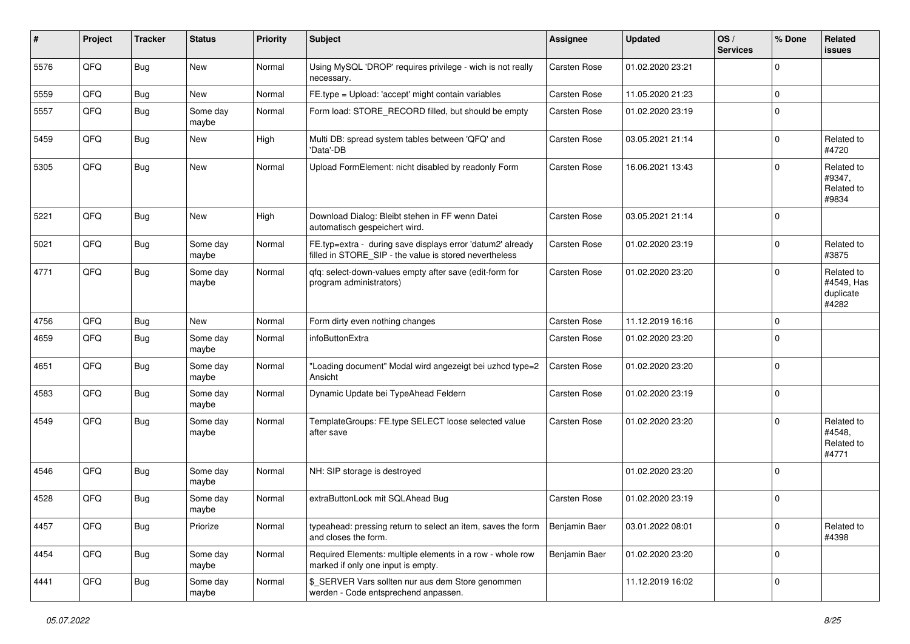| $\sharp$ | Project | <b>Tracker</b> | <b>Status</b>     | <b>Priority</b> | <b>Subject</b>                                                                                                       | Assignee            | <b>Updated</b>   | OS/<br><b>Services</b> | % Done      | Related<br>issues                              |
|----------|---------|----------------|-------------------|-----------------|----------------------------------------------------------------------------------------------------------------------|---------------------|------------------|------------------------|-------------|------------------------------------------------|
| 5576     | QFQ     | Bug            | New               | Normal          | Using MySQL 'DROP' requires privilege - wich is not really<br>necessary.                                             | Carsten Rose        | 01.02.2020 23:21 |                        | $\Omega$    |                                                |
| 5559     | QFQ     | Bug            | New               | Normal          | FE.type = Upload: 'accept' might contain variables                                                                   | Carsten Rose        | 11.05.2020 21:23 |                        | $\mathbf 0$ |                                                |
| 5557     | QFQ     | Bug            | Some day<br>maybe | Normal          | Form load: STORE_RECORD filled, but should be empty                                                                  | <b>Carsten Rose</b> | 01.02.2020 23:19 |                        | $\Omega$    |                                                |
| 5459     | QFQ     | Bug            | New               | High            | Multi DB: spread system tables between 'QFQ' and<br>'Data'-DB                                                        | Carsten Rose        | 03.05.2021 21:14 |                        | $\mathbf 0$ | Related to<br>#4720                            |
| 5305     | QFQ     | Bug            | New               | Normal          | Upload FormElement: nicht disabled by readonly Form                                                                  | Carsten Rose        | 16.06.2021 13:43 |                        | $\Omega$    | Related to<br>#9347,<br>Related to<br>#9834    |
| 5221     | QFQ     | Bug            | <b>New</b>        | High            | Download Dialog: Bleibt stehen in FF wenn Datei<br>automatisch gespeichert wird.                                     | Carsten Rose        | 03.05.2021 21:14 |                        | $\Omega$    |                                                |
| 5021     | QFQ     | Bug            | Some day<br>maybe | Normal          | FE.typ=extra - during save displays error 'datum2' already<br>filled in STORE_SIP - the value is stored nevertheless | Carsten Rose        | 01.02.2020 23:19 |                        | $\Omega$    | Related to<br>#3875                            |
| 4771     | QFQ     | Bug            | Some day<br>maybe | Normal          | gfg: select-down-values empty after save (edit-form for<br>program administrators)                                   | <b>Carsten Rose</b> | 01.02.2020 23:20 |                        | $\Omega$    | Related to<br>#4549, Has<br>duplicate<br>#4282 |
| 4756     | QFQ     | Bug            | New               | Normal          | Form dirty even nothing changes                                                                                      | Carsten Rose        | 11.12.2019 16:16 |                        | $\Omega$    |                                                |
| 4659     | QFQ     | Bug            | Some day<br>maybe | Normal          | infoButtonExtra                                                                                                      | <b>Carsten Rose</b> | 01.02.2020 23:20 |                        | $\Omega$    |                                                |
| 4651     | QFQ     | Bug            | Some day<br>maybe | Normal          | 'Loading document" Modal wird angezeigt bei uzhcd type=2<br>Ansicht                                                  | Carsten Rose        | 01.02.2020 23:20 |                        | $\mathbf 0$ |                                                |
| 4583     | QFQ     | <b>Bug</b>     | Some day<br>maybe | Normal          | Dynamic Update bei TypeAhead Feldern                                                                                 | Carsten Rose        | 01.02.2020 23:19 |                        | $\Omega$    |                                                |
| 4549     | QFQ     | Bug            | Some day<br>maybe | Normal          | TemplateGroups: FE.type SELECT loose selected value<br>after save                                                    | Carsten Rose        | 01.02.2020 23:20 |                        | $\Omega$    | Related to<br>#4548,<br>Related to<br>#4771    |
| 4546     | QFQ     | Bug            | Some day<br>maybe | Normal          | NH: SIP storage is destroyed                                                                                         |                     | 01.02.2020 23:20 |                        | $\mathbf 0$ |                                                |
| 4528     | QFQ     | Bug            | Some day<br>maybe | Normal          | extraButtonLock mit SQLAhead Bug                                                                                     | Carsten Rose        | 01.02.2020 23:19 |                        | $\Omega$    |                                                |
| 4457     | QFQ     | Bug            | Priorize          | Normal          | typeahead: pressing return to select an item, saves the form<br>and closes the form.                                 | Benjamin Baer       | 03.01.2022 08:01 |                        | $\mathbf 0$ | Related to<br>#4398                            |
| 4454     | QFQ     | <b>Bug</b>     | Some day<br>maybe | Normal          | Required Elements: multiple elements in a row - whole row<br>marked if only one input is empty.                      | Benjamin Baer       | 01.02.2020 23:20 |                        | $\mathbf 0$ |                                                |
| 4441     | QFQ     | Bug            | Some day<br>maybe | Normal          | \$_SERVER Vars sollten nur aus dem Store genommen<br>werden - Code entsprechend anpassen.                            |                     | 11.12.2019 16:02 |                        | $\mathbf 0$ |                                                |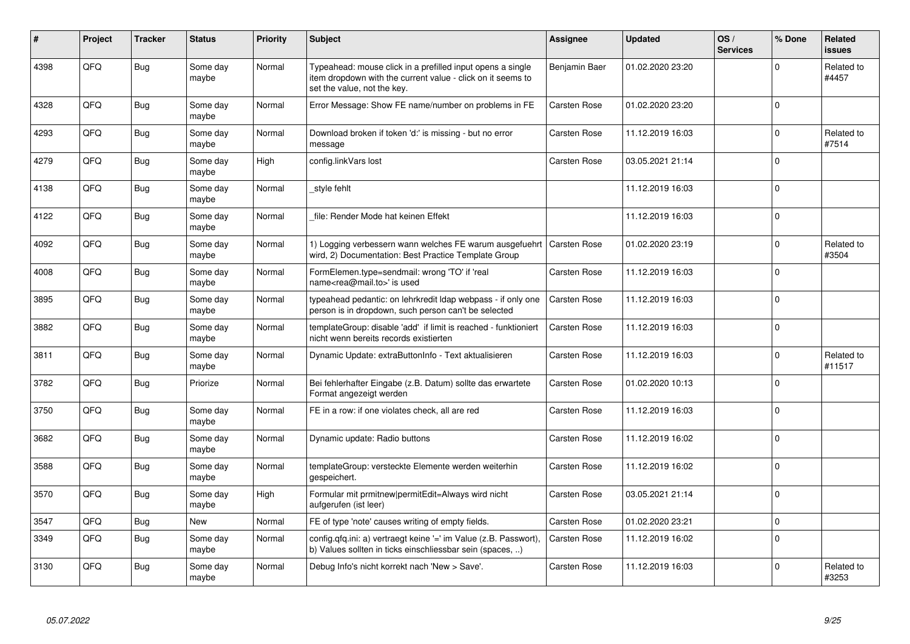| #    | Project | <b>Tracker</b> | <b>Status</b>     | <b>Priority</b> | <b>Subject</b>                                                                                                                                           | <b>Assignee</b>     | <b>Updated</b>   | OS/<br><b>Services</b> | % Done      | Related<br><b>issues</b> |
|------|---------|----------------|-------------------|-----------------|----------------------------------------------------------------------------------------------------------------------------------------------------------|---------------------|------------------|------------------------|-------------|--------------------------|
| 4398 | QFQ     | Bug            | Some day<br>maybe | Normal          | Typeahead: mouse click in a prefilled input opens a single<br>item dropdown with the current value - click on it seems to<br>set the value, not the key. | Benjamin Baer       | 01.02.2020 23:20 |                        | $\Omega$    | Related to<br>#4457      |
| 4328 | QFQ     | <b>Bug</b>     | Some day<br>maybe | Normal          | Error Message: Show FE name/number on problems in FE                                                                                                     | <b>Carsten Rose</b> | 01.02.2020 23:20 |                        | $\Omega$    |                          |
| 4293 | QFQ     | Bug            | Some day<br>maybe | Normal          | Download broken if token 'd:' is missing - but no error<br>message                                                                                       | <b>Carsten Rose</b> | 11.12.2019 16:03 |                        | $\mathbf 0$ | Related to<br>#7514      |
| 4279 | QFQ     | <b>Bug</b>     | Some day<br>maybe | High            | config.linkVars lost                                                                                                                                     | <b>Carsten Rose</b> | 03.05.2021 21:14 |                        | $\mathbf 0$ |                          |
| 4138 | QFQ     | <b>Bug</b>     | Some day<br>maybe | Normal          | _style fehlt                                                                                                                                             |                     | 11.12.2019 16:03 |                        | $\mathbf 0$ |                          |
| 4122 | QFQ     | Bug            | Some day<br>maybe | Normal          | file: Render Mode hat keinen Effekt                                                                                                                      |                     | 11.12.2019 16:03 |                        | $\Omega$    |                          |
| 4092 | QFQ     | <b>Bug</b>     | Some day<br>maybe | Normal          | 1) Logging verbessern wann welches FE warum ausgefuehrt<br>wird, 2) Documentation: Best Practice Template Group                                          | <b>Carsten Rose</b> | 01.02.2020 23:19 |                        | $\mathbf 0$ | Related to<br>#3504      |
| 4008 | QFQ     | Bug            | Some day<br>maybe | Normal          | FormElemen.type=sendmail: wrong 'TO' if 'real<br>name <rea@mail.to>' is used</rea@mail.to>                                                               | <b>Carsten Rose</b> | 11.12.2019 16:03 |                        | $\mathbf 0$ |                          |
| 3895 | QFQ     | Bug            | Some day<br>maybe | Normal          | typeahead pedantic: on lehrkredit Idap webpass - if only one<br>person is in dropdown, such person can't be selected                                     | <b>Carsten Rose</b> | 11.12.2019 16:03 |                        | $\mathbf 0$ |                          |
| 3882 | QFQ     | <b>Bug</b>     | Some day<br>maybe | Normal          | templateGroup: disable 'add' if limit is reached - funktioniert<br>nicht wenn bereits records existierten                                                | Carsten Rose        | 11.12.2019 16:03 |                        | $\mathbf 0$ |                          |
| 3811 | QFQ     | <b>Bug</b>     | Some day<br>maybe | Normal          | Dynamic Update: extraButtonInfo - Text aktualisieren                                                                                                     | Carsten Rose        | 11.12.2019 16:03 |                        | $\mathbf 0$ | Related to<br>#11517     |
| 3782 | QFQ     | Bug            | Priorize          | Normal          | Bei fehlerhafter Eingabe (z.B. Datum) sollte das erwartete<br>Format angezeigt werden                                                                    | <b>Carsten Rose</b> | 01.02.2020 10:13 |                        | $\mathbf 0$ |                          |
| 3750 | QFQ     | Bug            | Some day<br>maybe | Normal          | FE in a row: if one violates check, all are red                                                                                                          | Carsten Rose        | 11.12.2019 16:03 |                        | $\mathbf 0$ |                          |
| 3682 | QFQ     | Bug            | Some day<br>maybe | Normal          | Dynamic update: Radio buttons                                                                                                                            | Carsten Rose        | 11.12.2019 16:02 |                        | $\Omega$    |                          |
| 3588 | QFQ     | Bug            | Some day<br>maybe | Normal          | templateGroup: versteckte Elemente werden weiterhin<br>gespeichert.                                                                                      | Carsten Rose        | 11.12.2019 16:02 |                        | $\mathbf 0$ |                          |
| 3570 | QFQ     | Bug            | Some day<br>maybe | High            | Formular mit prmitnew permitEdit=Always wird nicht<br>aufgerufen (ist leer)                                                                              | Carsten Rose        | 03.05.2021 21:14 |                        | $\mathbf 0$ |                          |
| 3547 | QFQ     | Bug            | <b>New</b>        | Normal          | FE of type 'note' causes writing of empty fields.                                                                                                        | Carsten Rose        | 01.02.2020 23:21 |                        | $\mathbf 0$ |                          |
| 3349 | QFQ     | Bug            | Some day<br>maybe | Normal          | config.qfq.ini: a) vertraegt keine '=' im Value (z.B. Passwort),<br>b) Values sollten in ticks einschliessbar sein (spaces, )                            | Carsten Rose        | 11.12.2019 16:02 |                        | $\mathbf 0$ |                          |
| 3130 | QFQ     | Bug            | Some day<br>maybe | Normal          | Debug Info's nicht korrekt nach 'New > Save'.                                                                                                            | <b>Carsten Rose</b> | 11.12.2019 16:03 |                        | $\Omega$    | Related to<br>#3253      |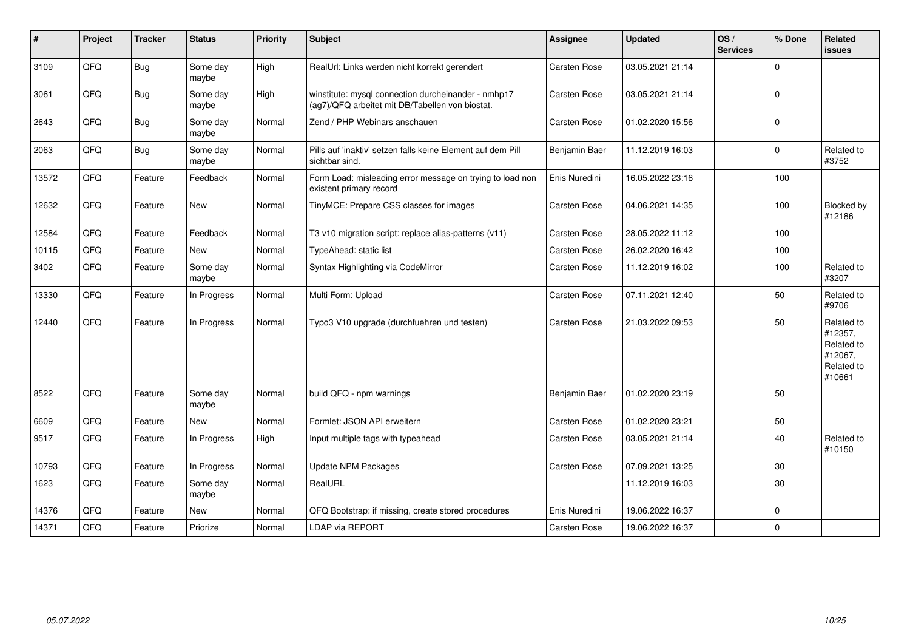| #     | Project | <b>Tracker</b> | <b>Status</b>     | <b>Priority</b> | <b>Subject</b>                                                                                         | <b>Assignee</b>     | <b>Updated</b>   | OS/<br><b>Services</b> | % Done      | Related<br><b>issues</b>                                               |
|-------|---------|----------------|-------------------|-----------------|--------------------------------------------------------------------------------------------------------|---------------------|------------------|------------------------|-------------|------------------------------------------------------------------------|
| 3109  | QFQ     | Bug            | Some day<br>maybe | High            | RealUrl: Links werden nicht korrekt gerendert                                                          | Carsten Rose        | 03.05.2021 21:14 |                        | $\Omega$    |                                                                        |
| 3061  | QFQ     | Bug            | Some day<br>maybe | High            | winstitute: mysql connection durcheinander - nmhp17<br>(ag7)/QFQ arbeitet mit DB/Tabellen von biostat. | <b>Carsten Rose</b> | 03.05.2021 21:14 |                        | $\mathbf 0$ |                                                                        |
| 2643  | QFQ     | Bug            | Some day<br>maybe | Normal          | Zend / PHP Webinars anschauen                                                                          | <b>Carsten Rose</b> | 01.02.2020 15:56 |                        | $\Omega$    |                                                                        |
| 2063  | QFQ     | Bug            | Some day<br>maybe | Normal          | Pills auf 'inaktiv' setzen falls keine Element auf dem Pill<br>sichtbar sind.                          | Benjamin Baer       | 11.12.2019 16:03 |                        | $\Omega$    | Related to<br>#3752                                                    |
| 13572 | QFQ     | Feature        | Feedback          | Normal          | Form Load: misleading error message on trying to load non<br>existent primary record                   | Enis Nuredini       | 16.05.2022 23:16 |                        | 100         |                                                                        |
| 12632 | QFQ     | Feature        | New               | Normal          | TinyMCE: Prepare CSS classes for images                                                                | Carsten Rose        | 04.06.2021 14:35 |                        | 100         | Blocked by<br>#12186                                                   |
| 12584 | QFQ     | Feature        | Feedback          | Normal          | T3 v10 migration script: replace alias-patterns (v11)                                                  | Carsten Rose        | 28.05.2022 11:12 |                        | 100         |                                                                        |
| 10115 | QFQ     | Feature        | <b>New</b>        | Normal          | TypeAhead: static list                                                                                 | <b>Carsten Rose</b> | 26.02.2020 16:42 |                        | 100         |                                                                        |
| 3402  | QFQ     | Feature        | Some day<br>maybe | Normal          | Syntax Highlighting via CodeMirror                                                                     | Carsten Rose        | 11.12.2019 16:02 |                        | 100         | Related to<br>#3207                                                    |
| 13330 | QFQ     | Feature        | In Progress       | Normal          | Multi Form: Upload                                                                                     | Carsten Rose        | 07.11.2021 12:40 |                        | 50          | Related to<br>#9706                                                    |
| 12440 | QFQ     | Feature        | In Progress       | Normal          | Typo3 V10 upgrade (durchfuehren und testen)                                                            | Carsten Rose        | 21.03.2022 09:53 |                        | 50          | Related to<br>#12357,<br>Related to<br>#12067,<br>Related to<br>#10661 |
| 8522  | QFQ     | Feature        | Some day<br>maybe | Normal          | build QFQ - npm warnings                                                                               | Benjamin Baer       | 01.02.2020 23:19 |                        | 50          |                                                                        |
| 6609  | QFQ     | Feature        | <b>New</b>        | Normal          | Formlet: JSON API erweitern                                                                            | <b>Carsten Rose</b> | 01.02.2020 23:21 |                        | 50          |                                                                        |
| 9517  | QFQ     | Feature        | In Progress       | High            | Input multiple tags with typeahead                                                                     | Carsten Rose        | 03.05.2021 21:14 |                        | 40          | Related to<br>#10150                                                   |
| 10793 | QFQ     | Feature        | In Progress       | Normal          | <b>Update NPM Packages</b>                                                                             | <b>Carsten Rose</b> | 07.09.2021 13:25 |                        | 30          |                                                                        |
| 1623  | QFQ     | Feature        | Some day<br>maybe | Normal          | RealURL                                                                                                |                     | 11.12.2019 16:03 |                        | 30          |                                                                        |
| 14376 | QFQ     | Feature        | <b>New</b>        | Normal          | QFQ Bootstrap: if missing, create stored procedures                                                    | Enis Nuredini       | 19.06.2022 16:37 |                        | $\Omega$    |                                                                        |
| 14371 | QFQ     | Feature        | Priorize          | Normal          | <b>LDAP via REPORT</b>                                                                                 | <b>Carsten Rose</b> | 19.06.2022 16:37 |                        | $\Omega$    |                                                                        |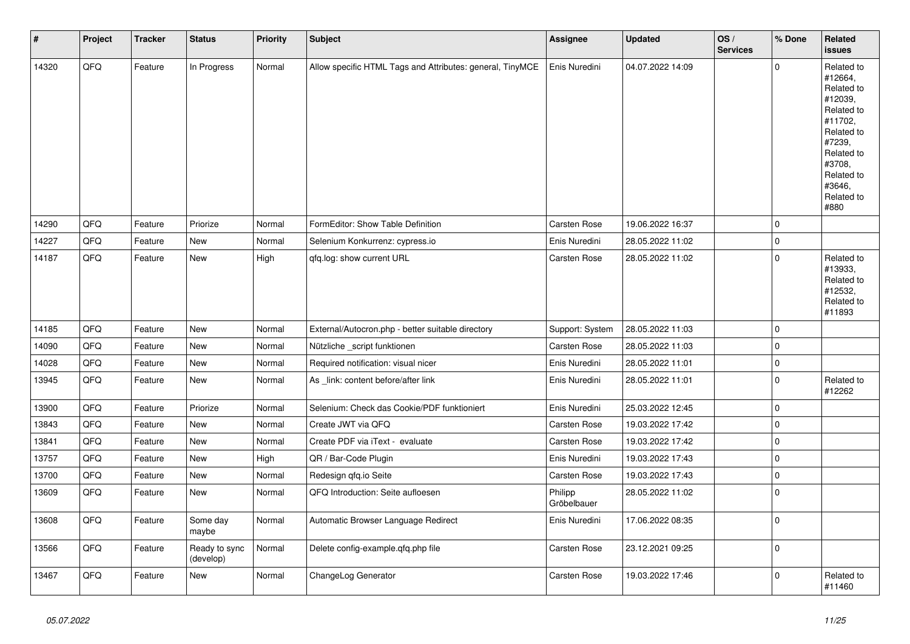| $\vert$ # | Project | <b>Tracker</b> | <b>Status</b>              | <b>Priority</b> | <b>Subject</b>                                            | <b>Assignee</b>        | <b>Updated</b>   | OS/<br><b>Services</b> | % Done      | Related<br><b>issues</b>                                                                                                                                              |
|-----------|---------|----------------|----------------------------|-----------------|-----------------------------------------------------------|------------------------|------------------|------------------------|-------------|-----------------------------------------------------------------------------------------------------------------------------------------------------------------------|
| 14320     | QFQ     | Feature        | In Progress                | Normal          | Allow specific HTML Tags and Attributes: general, TinyMCE | Enis Nuredini          | 04.07.2022 14:09 |                        | $\Omega$    | Related to<br>#12664,<br>Related to<br>#12039,<br>Related to<br>#11702,<br>Related to<br>#7239,<br>Related to<br>#3708.<br>Related to<br>#3646.<br>Related to<br>#880 |
| 14290     | QFQ     | Feature        | Priorize                   | Normal          | FormEditor: Show Table Definition                         | <b>Carsten Rose</b>    | 19.06.2022 16:37 |                        | $\mathbf 0$ |                                                                                                                                                                       |
| 14227     | QFQ     | Feature        | New                        | Normal          | Selenium Konkurrenz: cypress.io                           | Enis Nuredini          | 28.05.2022 11:02 |                        | $\pmb{0}$   |                                                                                                                                                                       |
| 14187     | QFQ     | Feature        | New                        | High            | qfq.log: show current URL                                 | Carsten Rose           | 28.05.2022 11:02 |                        | $\mathbf 0$ | Related to<br>#13933,<br>Related to<br>#12532,<br>Related to<br>#11893                                                                                                |
| 14185     | QFQ     | Feature        | New                        | Normal          | External/Autocron.php - better suitable directory         | Support: System        | 28.05.2022 11:03 |                        | $\mathbf 0$ |                                                                                                                                                                       |
| 14090     | QFQ     | Feature        | New                        | Normal          | Nützliche _script funktionen                              | Carsten Rose           | 28.05.2022 11:03 |                        | $\mathbf 0$ |                                                                                                                                                                       |
| 14028     | QFQ     | Feature        | New                        | Normal          | Required notification: visual nicer                       | Enis Nuredini          | 28.05.2022 11:01 |                        | $\mathbf 0$ |                                                                                                                                                                       |
| 13945     | QFQ     | Feature        | New                        | Normal          | As _link: content before/after link                       | Enis Nuredini          | 28.05.2022 11:01 |                        | $\mathbf 0$ | Related to<br>#12262                                                                                                                                                  |
| 13900     | QFQ     | Feature        | Priorize                   | Normal          | Selenium: Check das Cookie/PDF funktioniert               | Enis Nuredini          | 25.03.2022 12:45 |                        | $\mathbf 0$ |                                                                                                                                                                       |
| 13843     | QFQ     | Feature        | New                        | Normal          | Create JWT via QFQ                                        | <b>Carsten Rose</b>    | 19.03.2022 17:42 |                        | $\mathbf 0$ |                                                                                                                                                                       |
| 13841     | QFQ     | Feature        | New                        | Normal          | Create PDF via iText - evaluate                           | <b>Carsten Rose</b>    | 19.03.2022 17:42 |                        | $\mathbf 0$ |                                                                                                                                                                       |
| 13757     | QFQ     | Feature        | New                        | High            | QR / Bar-Code Plugin                                      | Enis Nuredini          | 19.03.2022 17:43 |                        | $\mathbf 0$ |                                                                                                                                                                       |
| 13700     | QFQ     | Feature        | New                        | Normal          | Redesign qfq.io Seite                                     | Carsten Rose           | 19.03.2022 17:43 |                        | $\mathbf 0$ |                                                                                                                                                                       |
| 13609     | QFQ     | Feature        | New                        | Normal          | QFQ Introduction: Seite aufloesen                         | Philipp<br>Gröbelbauer | 28.05.2022 11:02 |                        | $\mathbf 0$ |                                                                                                                                                                       |
| 13608     | QFQ     | Feature        | Some day<br>maybe          | Normal          | Automatic Browser Language Redirect                       | Enis Nuredini          | 17.06.2022 08:35 |                        | $\mathbf 0$ |                                                                                                                                                                       |
| 13566     | QFQ     | Feature        | Ready to sync<br>(develop) | Normal          | Delete config-example.gfg.php file                        | <b>Carsten Rose</b>    | 23.12.2021 09:25 |                        | $\mathbf 0$ |                                                                                                                                                                       |
| 13467     | QFQ     | Feature        | New                        | Normal          | ChangeLog Generator                                       | Carsten Rose           | 19.03.2022 17:46 |                        | $\mathbf 0$ | Related to<br>#11460                                                                                                                                                  |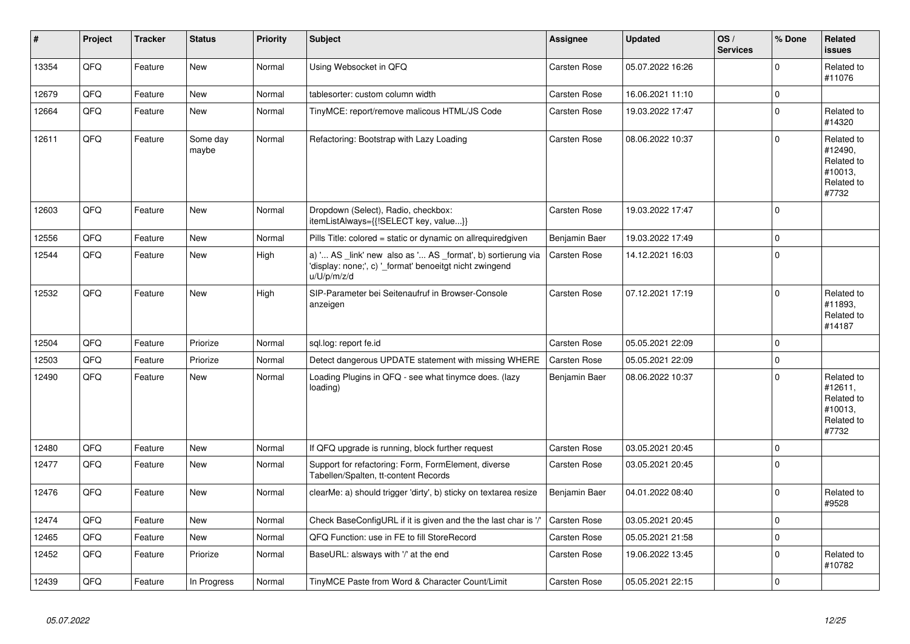| #     | Project | <b>Tracker</b> | <b>Status</b>     | <b>Priority</b> | <b>Subject</b>                                                                                                                        | <b>Assignee</b>     | <b>Updated</b>   | OS/<br><b>Services</b> | % Done      | Related<br><b>issues</b>                                              |
|-------|---------|----------------|-------------------|-----------------|---------------------------------------------------------------------------------------------------------------------------------------|---------------------|------------------|------------------------|-------------|-----------------------------------------------------------------------|
| 13354 | QFQ     | Feature        | <b>New</b>        | Normal          | Using Websocket in QFQ                                                                                                                | Carsten Rose        | 05.07.2022 16:26 |                        | $\Omega$    | Related to<br>#11076                                                  |
| 12679 | QFQ     | Feature        | New               | Normal          | tablesorter: custom column width                                                                                                      | Carsten Rose        | 16.06.2021 11:10 |                        | $\mathbf 0$ |                                                                       |
| 12664 | QFQ     | Feature        | <b>New</b>        | Normal          | TinyMCE: report/remove malicous HTML/JS Code                                                                                          | <b>Carsten Rose</b> | 19.03.2022 17:47 |                        | $\Omega$    | Related to<br>#14320                                                  |
| 12611 | QFQ     | Feature        | Some day<br>maybe | Normal          | Refactoring: Bootstrap with Lazy Loading                                                                                              | <b>Carsten Rose</b> | 08.06.2022 10:37 |                        | $\Omega$    | Related to<br>#12490,<br>Related to<br>#10013,<br>Related to<br>#7732 |
| 12603 | QFQ     | Feature        | New               | Normal          | Dropdown (Select), Radio, checkbox:<br>itemListAlways={{!SELECT key, value}}                                                          | Carsten Rose        | 19.03.2022 17:47 |                        | $\Omega$    |                                                                       |
| 12556 | QFQ     | Feature        | <b>New</b>        | Normal          | Pills Title: colored = static or dynamic on allrequiredgiven                                                                          | Benjamin Baer       | 19.03.2022 17:49 |                        | $\Omega$    |                                                                       |
| 12544 | QFQ     | Feature        | New               | High            | a) ' AS _link' new also as ' AS _format', b) sortierung via<br>'display: none;', c) '_format' benoeitgt nicht zwingend<br>u/U/p/m/z/d | <b>Carsten Rose</b> | 14.12.2021 16:03 |                        | $\Omega$    |                                                                       |
| 12532 | QFQ     | Feature        | New               | High            | SIP-Parameter bei Seitenaufruf in Browser-Console<br>anzeigen                                                                         | Carsten Rose        | 07.12.2021 17:19 |                        | $\Omega$    | Related to<br>#11893.<br>Related to<br>#14187                         |
| 12504 | QFQ     | Feature        | Priorize          | Normal          | sql.log: report fe.id                                                                                                                 | Carsten Rose        | 05.05.2021 22:09 |                        | $\Omega$    |                                                                       |
| 12503 | QFQ     | Feature        | Priorize          | Normal          | Detect dangerous UPDATE statement with missing WHERE                                                                                  | <b>Carsten Rose</b> | 05.05.2021 22:09 |                        | $\mathbf 0$ |                                                                       |
| 12490 | QFQ     | Feature        | New               | Normal          | Loading Plugins in QFQ - see what tinymce does. (lazy<br>loading)                                                                     | Benjamin Baer       | 08.06.2022 10:37 |                        | $\Omega$    | Related to<br>#12611,<br>Related to<br>#10013.<br>Related to<br>#7732 |
| 12480 | QFQ     | Feature        | <b>New</b>        | Normal          | If QFQ upgrade is running, block further request                                                                                      | <b>Carsten Rose</b> | 03.05.2021 20:45 |                        | $\Omega$    |                                                                       |
| 12477 | QFQ     | Feature        | New               | Normal          | Support for refactoring: Form, FormElement, diverse<br>Tabellen/Spalten, tt-content Records                                           | Carsten Rose        | 03.05.2021 20:45 |                        | $\Omega$    |                                                                       |
| 12476 | QFQ     | Feature        | <b>New</b>        | Normal          | clearMe: a) should trigger 'dirty', b) sticky on textarea resize                                                                      | Benjamin Baer       | 04.01.2022 08:40 |                        | $\Omega$    | Related to<br>#9528                                                   |
| 12474 | QFQ     | Feature        | New               | Normal          | Check BaseConfigURL if it is given and the the last char is '/'                                                                       | Carsten Rose        | 03.05.2021 20:45 |                        | $\mathbf 0$ |                                                                       |
| 12465 | QFQ     | Feature        | <b>New</b>        | Normal          | QFQ Function: use in FE to fill StoreRecord                                                                                           | <b>Carsten Rose</b> | 05.05.2021 21:58 |                        | $\Omega$    |                                                                       |
| 12452 | QFQ     | Feature        | Priorize          | Normal          | BaseURL: alsways with '/' at the end                                                                                                  | Carsten Rose        | 19.06.2022 13:45 |                        | $\Omega$    | Related to<br>#10782                                                  |
| 12439 | QFQ     | Feature        | In Progress       | Normal          | TinyMCE Paste from Word & Character Count/Limit                                                                                       | Carsten Rose        | 05.05.2021 22:15 |                        | $\Omega$    |                                                                       |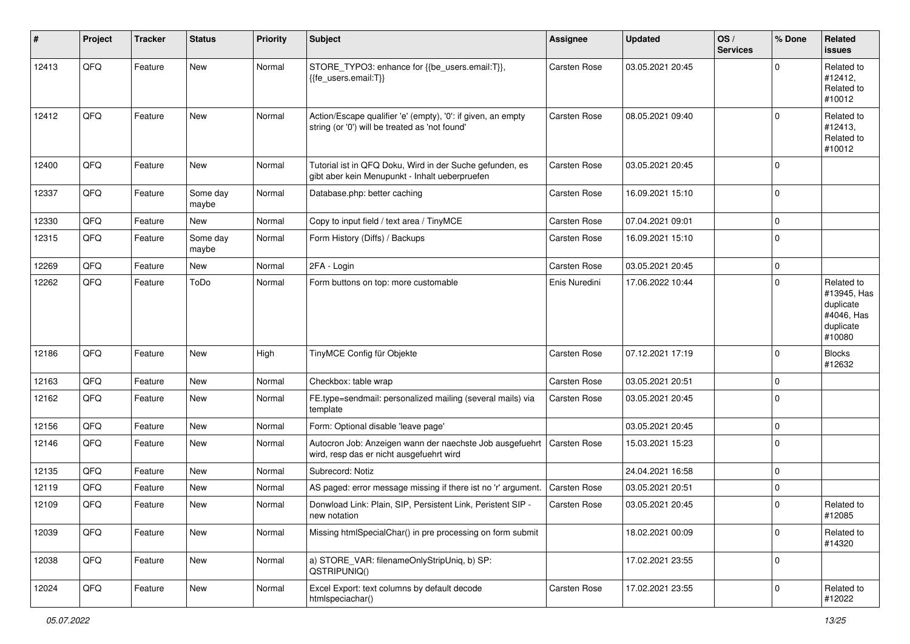| #     | Project | <b>Tracker</b> | <b>Status</b>     | <b>Priority</b> | <b>Subject</b>                                                                                                 | <b>Assignee</b>     | <b>Updated</b>   | OS/<br><b>Services</b> | % Done      | Related<br>issues                                                           |
|-------|---------|----------------|-------------------|-----------------|----------------------------------------------------------------------------------------------------------------|---------------------|------------------|------------------------|-------------|-----------------------------------------------------------------------------|
| 12413 | QFQ     | Feature        | New               | Normal          | STORE_TYPO3: enhance for {{be_users.email:T}},<br>{{fe users.email:T}}                                         | <b>Carsten Rose</b> | 03.05.2021 20:45 |                        | $\Omega$    | Related to<br>#12412.<br>Related to<br>#10012                               |
| 12412 | QFQ     | Feature        | <b>New</b>        | Normal          | Action/Escape qualifier 'e' (empty), '0': if given, an empty<br>string (or '0') will be treated as 'not found' | Carsten Rose        | 08.05.2021 09:40 |                        | $\Omega$    | Related to<br>#12413,<br>Related to<br>#10012                               |
| 12400 | QFQ     | Feature        | New               | Normal          | Tutorial ist in QFQ Doku, Wird in der Suche gefunden, es<br>gibt aber kein Menupunkt - Inhalt ueberpruefen     | Carsten Rose        | 03.05.2021 20:45 |                        | $\Omega$    |                                                                             |
| 12337 | QFQ     | Feature        | Some day<br>maybe | Normal          | Database.php: better caching                                                                                   | Carsten Rose        | 16.09.2021 15:10 |                        | $\Omega$    |                                                                             |
| 12330 | QFQ     | Feature        | New               | Normal          | Copy to input field / text area / TinyMCE                                                                      | Carsten Rose        | 07.04.2021 09:01 |                        | $\Omega$    |                                                                             |
| 12315 | QFQ     | Feature        | Some day<br>maybe | Normal          | Form History (Diffs) / Backups                                                                                 | Carsten Rose        | 16.09.2021 15:10 |                        | $\Omega$    |                                                                             |
| 12269 | QFQ     | Feature        | New               | Normal          | 2FA - Login                                                                                                    | Carsten Rose        | 03.05.2021 20:45 |                        | $\Omega$    |                                                                             |
| 12262 | QFQ     | Feature        | ToDo              | Normal          | Form buttons on top: more customable                                                                           | Enis Nuredini       | 17.06.2022 10:44 |                        | $\Omega$    | Related to<br>#13945, Has<br>duplicate<br>#4046, Has<br>duplicate<br>#10080 |
| 12186 | QFQ     | Feature        | <b>New</b>        | High            | TinyMCE Config für Objekte                                                                                     | Carsten Rose        | 07.12.2021 17:19 |                        | $\Omega$    | <b>Blocks</b><br>#12632                                                     |
| 12163 | QFQ     | Feature        | <b>New</b>        | Normal          | Checkbox: table wrap                                                                                           | Carsten Rose        | 03.05.2021 20:51 |                        | $\Omega$    |                                                                             |
| 12162 | QFQ     | Feature        | <b>New</b>        | Normal          | FE.type=sendmail: personalized mailing (several mails) via<br>template                                         | Carsten Rose        | 03.05.2021 20:45 |                        | $\Omega$    |                                                                             |
| 12156 | QFQ     | Feature        | <b>New</b>        | Normal          | Form: Optional disable 'leave page'                                                                            |                     | 03.05.2021 20:45 |                        | $\Omega$    |                                                                             |
| 12146 | QFQ     | Feature        | <b>New</b>        | Normal          | Autocron Job: Anzeigen wann der naechste Job ausgefuehrt<br>wird, resp das er nicht ausgefuehrt wird           | Carsten Rose        | 15.03.2021 15:23 |                        | $\Omega$    |                                                                             |
| 12135 | QFQ     | Feature        | <b>New</b>        | Normal          | Subrecord: Notiz                                                                                               |                     | 24.04.2021 16:58 |                        | $\Omega$    |                                                                             |
| 12119 | QFQ     | Feature        | New               | Normal          | AS paged: error message missing if there ist no 'r' argument.                                                  | Carsten Rose        | 03.05.2021 20:51 |                        | $\Omega$    |                                                                             |
| 12109 | QFQ     | Feature        | <b>New</b>        | Normal          | Donwload Link: Plain, SIP, Persistent Link, Peristent SIP -<br>new notation                                    | Carsten Rose        | 03.05.2021 20:45 |                        | $\Omega$    | Related to<br>#12085                                                        |
| 12039 | QFQ     | Feature        | New               | Normal          | Missing htmlSpecialChar() in pre processing on form submit                                                     |                     | 18.02.2021 00:09 |                        | $\mathbf 0$ | Related to<br>#14320                                                        |
| 12038 | QFQ     | Feature        | New               | Normal          | a) STORE_VAR: filenameOnlyStripUniq, b) SP:<br>QSTRIPUNIQ()                                                    |                     | 17.02.2021 23:55 |                        | 0           |                                                                             |
| 12024 | QFQ     | Feature        | New               | Normal          | Excel Export: text columns by default decode<br>htmlspeciachar()                                               | Carsten Rose        | 17.02.2021 23:55 |                        | 0           | Related to<br>#12022                                                        |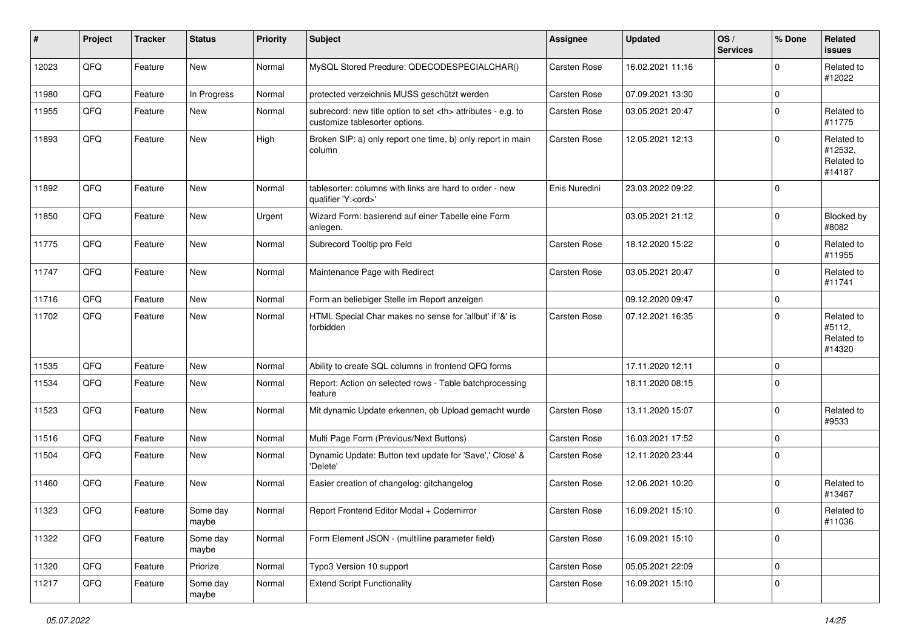| #     | Project | <b>Tracker</b> | <b>Status</b>     | <b>Priority</b> | <b>Subject</b>                                                                                       | <b>Assignee</b>                                        | <b>Updated</b>   | OS/<br><b>Services</b> | % Done      | Related<br>issues                             |                      |
|-------|---------|----------------|-------------------|-----------------|------------------------------------------------------------------------------------------------------|--------------------------------------------------------|------------------|------------------------|-------------|-----------------------------------------------|----------------------|
| 12023 | QFQ     | Feature        | New               | Normal          | MySQL Stored Precdure: QDECODESPECIALCHAR()                                                          | Carsten Rose                                           | 16.02.2021 11:16 |                        | $\Omega$    | Related to<br>#12022                          |                      |
| 11980 | QFQ     | Feature        | In Progress       | Normal          | protected verzeichnis MUSS geschützt werden                                                          | Carsten Rose                                           | 07.09.2021 13:30 |                        | $\mathbf 0$ |                                               |                      |
| 11955 | QFQ     | Feature        | New               | Normal          | subrecord: new title option to set <th> attributes - e.g. to<br/>customize tablesorter options.</th> | attributes - e.g. to<br>customize tablesorter options. | Carsten Rose     | 03.05.2021 20:47       |             | $\Omega$                                      | Related to<br>#11775 |
| 11893 | QFQ     | Feature        | New               | High            | Broken SIP: a) only report one time, b) only report in main<br>column                                | Carsten Rose                                           | 12.05.2021 12:13 |                        | $\Omega$    | Related to<br>#12532,<br>Related to<br>#14187 |                      |
| 11892 | QFQ     | Feature        | New               | Normal          | tablesorter: columns with links are hard to order - new<br>qualifier 'Y: <ord>'</ord>                | Enis Nuredini                                          | 23.03.2022 09:22 |                        | $\Omega$    |                                               |                      |
| 11850 | QFQ     | Feature        | <b>New</b>        | Urgent          | Wizard Form: basierend auf einer Tabelle eine Form<br>anlegen.                                       |                                                        | 03.05.2021 21:12 |                        | $\Omega$    | Blocked by<br>#8082                           |                      |
| 11775 | QFQ     | Feature        | <b>New</b>        | Normal          | Subrecord Tooltip pro Feld                                                                           | Carsten Rose                                           | 18.12.2020 15:22 |                        | $\Omega$    | Related to<br>#11955                          |                      |
| 11747 | QFQ     | Feature        | New               | Normal          | Maintenance Page with Redirect                                                                       | Carsten Rose                                           | 03.05.2021 20:47 |                        | $\Omega$    | Related to<br>#11741                          |                      |
| 11716 | QFQ     | Feature        | <b>New</b>        | Normal          | Form an beliebiger Stelle im Report anzeigen                                                         |                                                        | 09.12.2020 09:47 |                        | $\Omega$    |                                               |                      |
| 11702 | QFQ     | Feature        | New               | Normal          | HTML Special Char makes no sense for 'allbut' if '&' is<br>forbidden                                 | Carsten Rose                                           | 07.12.2021 16:35 |                        | $\Omega$    | Related to<br>#5112,<br>Related to<br>#14320  |                      |
| 11535 | QFQ     | Feature        | <b>New</b>        | Normal          | Ability to create SQL columns in frontend QFQ forms                                                  |                                                        | 17.11.2020 12:11 |                        | $\Omega$    |                                               |                      |
| 11534 | QFQ     | Feature        | <b>New</b>        | Normal          | Report: Action on selected rows - Table batchprocessing<br>feature                                   |                                                        | 18.11.2020 08:15 |                        | $\Omega$    |                                               |                      |
| 11523 | QFQ     | Feature        | New               | Normal          | Mit dynamic Update erkennen, ob Upload gemacht wurde                                                 | Carsten Rose                                           | 13.11.2020 15:07 |                        | $\Omega$    | Related to<br>#9533                           |                      |
| 11516 | QFQ     | Feature        | <b>New</b>        | Normal          | Multi Page Form (Previous/Next Buttons)                                                              | Carsten Rose                                           | 16.03.2021 17:52 |                        | $\Omega$    |                                               |                      |
| 11504 | QFQ     | Feature        | New               | Normal          | Dynamic Update: Button text update for 'Save',' Close' &<br>'Delete'                                 | Carsten Rose                                           | 12.11.2020 23:44 |                        | $\Omega$    |                                               |                      |
| 11460 | QFQ     | Feature        | <b>New</b>        | Normal          | Easier creation of changelog: gitchangelog                                                           | Carsten Rose                                           | 12.06.2021 10:20 |                        | $\Omega$    | Related to<br>#13467                          |                      |
| 11323 | QFQ     | Feature        | Some day<br>maybe | Normal          | Report Frontend Editor Modal + Codemirror                                                            | Carsten Rose                                           | 16.09.2021 15:10 |                        | $\Omega$    | Related to<br>#11036                          |                      |
| 11322 | QFQ     | Feature        | Some day<br>maybe | Normal          | Form Element JSON - (multiline parameter field)                                                      | Carsten Rose                                           | 16.09.2021 15:10 |                        | 0           |                                               |                      |
| 11320 | QFQ     | Feature        | Priorize          | Normal          | Typo3 Version 10 support                                                                             | Carsten Rose                                           | 05.05.2021 22:09 |                        | $\mathbf 0$ |                                               |                      |
| 11217 | QFQ     | Feature        | Some day<br>maybe | Normal          | <b>Extend Script Functionality</b>                                                                   | Carsten Rose                                           | 16.09.2021 15:10 |                        | 0           |                                               |                      |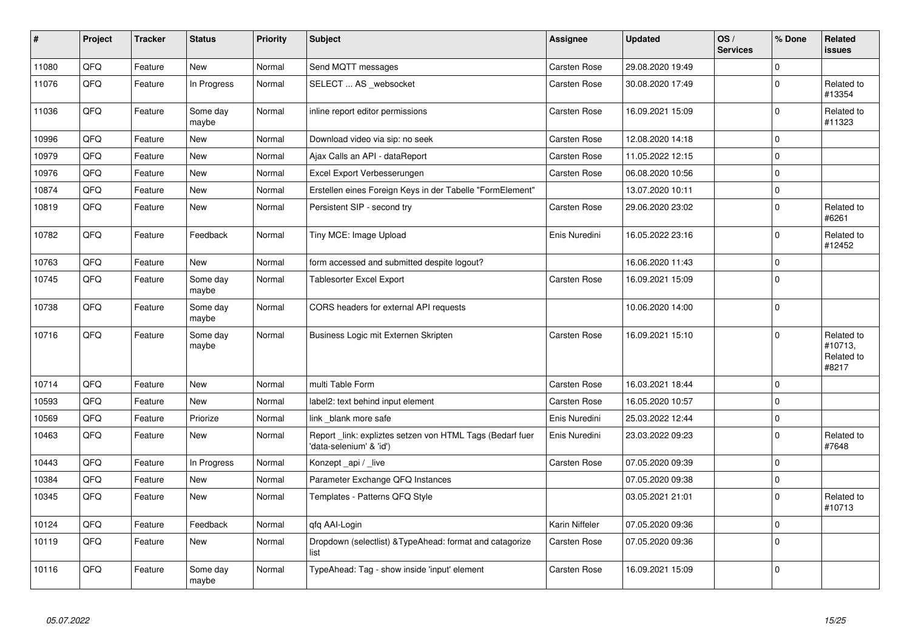| $\sharp$ | Project | <b>Tracker</b> | <b>Status</b>     | <b>Priority</b> | <b>Subject</b>                                                                      | <b>Assignee</b>     | <b>Updated</b>   | OS/<br><b>Services</b> | % Done      | Related<br><b>issues</b>                     |
|----------|---------|----------------|-------------------|-----------------|-------------------------------------------------------------------------------------|---------------------|------------------|------------------------|-------------|----------------------------------------------|
| 11080    | QFQ     | Feature        | <b>New</b>        | Normal          | Send MQTT messages                                                                  | <b>Carsten Rose</b> | 29.08.2020 19:49 |                        | $\mathbf 0$ |                                              |
| 11076    | QFQ     | Feature        | In Progress       | Normal          | SELECT  AS _websocket                                                               | Carsten Rose        | 30.08.2020 17:49 |                        | $\Omega$    | Related to<br>#13354                         |
| 11036    | QFQ     | Feature        | Some day<br>maybe | Normal          | inline report editor permissions                                                    | <b>Carsten Rose</b> | 16.09.2021 15:09 |                        | $\mathbf 0$ | Related to<br>#11323                         |
| 10996    | QFQ     | Feature        | <b>New</b>        | Normal          | Download video via sip: no seek                                                     | <b>Carsten Rose</b> | 12.08.2020 14:18 |                        | $\mathbf 0$ |                                              |
| 10979    | QFQ     | Feature        | <b>New</b>        | Normal          | Ajax Calls an API - dataReport                                                      | <b>Carsten Rose</b> | 11.05.2022 12:15 |                        | $\mathbf 0$ |                                              |
| 10976    | QFQ     | Feature        | New               | Normal          | Excel Export Verbesserungen                                                         | <b>Carsten Rose</b> | 06.08.2020 10:56 |                        | $\Omega$    |                                              |
| 10874    | QFQ     | Feature        | <b>New</b>        | Normal          | Erstellen eines Foreign Keys in der Tabelle "FormElement"                           |                     | 13.07.2020 10:11 |                        | $\mathbf 0$ |                                              |
| 10819    | QFQ     | Feature        | <b>New</b>        | Normal          | Persistent SIP - second try                                                         | <b>Carsten Rose</b> | 29.06.2020 23:02 |                        | $\Omega$    | Related to<br>#6261                          |
| 10782    | QFQ     | Feature        | Feedback          | Normal          | Tiny MCE: Image Upload                                                              | Enis Nuredini       | 16.05.2022 23:16 |                        | $\mathbf 0$ | Related to<br>#12452                         |
| 10763    | QFQ     | Feature        | <b>New</b>        | Normal          | form accessed and submitted despite logout?                                         |                     | 16.06.2020 11:43 |                        | $\mathbf 0$ |                                              |
| 10745    | QFQ     | Feature        | Some day<br>maybe | Normal          | <b>Tablesorter Excel Export</b>                                                     | <b>Carsten Rose</b> | 16.09.2021 15:09 |                        | $\mathbf 0$ |                                              |
| 10738    | QFQ     | Feature        | Some day<br>maybe | Normal          | CORS headers for external API requests                                              |                     | 10.06.2020 14:00 |                        | $\mathbf 0$ |                                              |
| 10716    | QFQ     | Feature        | Some day<br>maybe | Normal          | Business Logic mit Externen Skripten                                                | <b>Carsten Rose</b> | 16.09.2021 15:10 |                        | $\mathbf 0$ | Related to<br>#10713,<br>Related to<br>#8217 |
| 10714    | QFQ     | Feature        | <b>New</b>        | Normal          | multi Table Form                                                                    | <b>Carsten Rose</b> | 16.03.2021 18:44 |                        | $\mathbf 0$ |                                              |
| 10593    | QFQ     | Feature        | <b>New</b>        | Normal          | label2: text behind input element                                                   | Carsten Rose        | 16.05.2020 10:57 |                        | $\Omega$    |                                              |
| 10569    | QFQ     | Feature        | Priorize          | Normal          | link blank more safe                                                                | Enis Nuredini       | 25.03.2022 12:44 |                        | $\mathbf 0$ |                                              |
| 10463    | QFQ     | Feature        | New               | Normal          | Report_link: expliztes setzen von HTML Tags (Bedarf fuer<br>'data-selenium' & 'id') | Enis Nuredini       | 23.03.2022 09:23 |                        | $\Omega$    | Related to<br>#7648                          |
| 10443    | QFQ     | Feature        | In Progress       | Normal          | Konzept_api / _live                                                                 | Carsten Rose        | 07.05.2020 09:39 |                        | $\Omega$    |                                              |
| 10384    | QFQ     | Feature        | New               | Normal          | Parameter Exchange QFQ Instances                                                    |                     | 07.05.2020 09:38 |                        | $\mathbf 0$ |                                              |
| 10345    | QFQ     | Feature        | New               | Normal          | Templates - Patterns QFQ Style                                                      |                     | 03.05.2021 21:01 |                        | $\mathbf 0$ | Related to<br>#10713                         |
| 10124    | QFQ     | Feature        | Feedback          | Normal          | qfq AAI-Login                                                                       | Karin Niffeler      | 07.05.2020 09:36 |                        | $\mathbf 0$ |                                              |
| 10119    | QFQ     | Feature        | New               | Normal          | Dropdown (selectlist) & Type Ahead: format and catagorize<br>list                   | <b>Carsten Rose</b> | 07.05.2020 09:36 |                        | $\mathbf 0$ |                                              |
| 10116    | QFQ     | Feature        | Some day<br>maybe | Normal          | TypeAhead: Tag - show inside 'input' element                                        | Carsten Rose        | 16.09.2021 15:09 |                        | $\mathbf 0$ |                                              |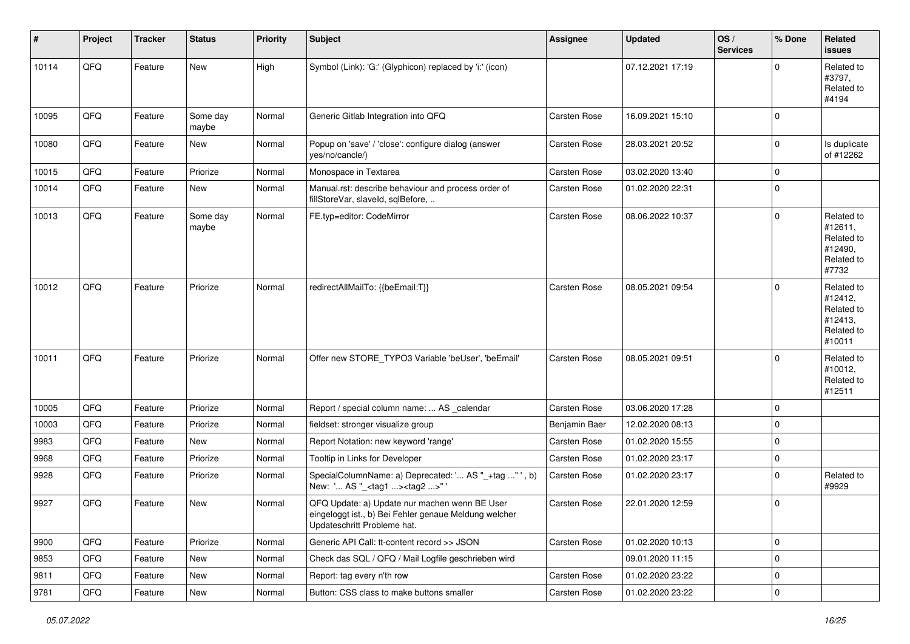| $\vert$ # | Project        | <b>Tracker</b> | <b>Status</b>     | <b>Priority</b> | <b>Subject</b>                                                                                                                        | Assignee      | <b>Updated</b>   | $\log$<br><b>Services</b> | % Done      | Related<br><b>issues</b>                                               |
|-----------|----------------|----------------|-------------------|-----------------|---------------------------------------------------------------------------------------------------------------------------------------|---------------|------------------|---------------------------|-------------|------------------------------------------------------------------------|
| 10114     | QFQ            | Feature        | <b>New</b>        | High            | Symbol (Link): 'G:' (Glyphicon) replaced by 'i:' (icon)                                                                               |               | 07.12.2021 17:19 |                           | $\Omega$    | Related to<br>#3797,<br>Related to<br>#4194                            |
| 10095     | QFQ            | Feature        | Some day<br>maybe | Normal          | Generic Gitlab Integration into QFQ                                                                                                   | Carsten Rose  | 16.09.2021 15:10 |                           | $\Omega$    |                                                                        |
| 10080     | QFQ            | Feature        | <b>New</b>        | Normal          | Popup on 'save' / 'close': configure dialog (answer<br>yes/no/cancle/)                                                                | Carsten Rose  | 28.03.2021 20:52 |                           | $\Omega$    | Is duplicate<br>of #12262                                              |
| 10015     | QFQ            | Feature        | Priorize          | Normal          | Monospace in Textarea                                                                                                                 | Carsten Rose  | 03.02.2020 13:40 |                           | $\Omega$    |                                                                        |
| 10014     | QFQ            | Feature        | <b>New</b>        | Normal          | Manual.rst: describe behaviour and process order of<br>fillStoreVar, slaveId, sqlBefore,                                              | Carsten Rose  | 01.02.2020 22:31 |                           | 0           |                                                                        |
| 10013     | QFQ            | Feature        | Some day<br>maybe | Normal          | FE.typ=editor: CodeMirror                                                                                                             | Carsten Rose  | 08.06.2022 10:37 |                           | $\Omega$    | Related to<br>#12611,<br>Related to<br>#12490,<br>Related to<br>#7732  |
| 10012     | QFQ            | Feature        | Priorize          | Normal          | redirectAllMailTo: {{beEmail:T}}                                                                                                      | Carsten Rose  | 08.05.2021 09:54 |                           | $\Omega$    | Related to<br>#12412,<br>Related to<br>#12413,<br>Related to<br>#10011 |
| 10011     | QFQ            | Feature        | Priorize          | Normal          | Offer new STORE_TYPO3 Variable 'beUser', 'beEmail'                                                                                    | Carsten Rose  | 08.05.2021 09:51 |                           | $\Omega$    | Related to<br>#10012,<br>Related to<br>#12511                          |
| 10005     | QFQ            | Feature        | Priorize          | Normal          | Report / special column name:  AS _calendar                                                                                           | Carsten Rose  | 03.06.2020 17:28 |                           | $\Omega$    |                                                                        |
| 10003     | QFQ            | Feature        | Priorize          | Normal          | fieldset: stronger visualize group                                                                                                    | Benjamin Baer | 12.02.2020 08:13 |                           | $\Omega$    |                                                                        |
| 9983      | QFQ            | Feature        | New               | Normal          | Report Notation: new keyword 'range'                                                                                                  | Carsten Rose  | 01.02.2020 15:55 |                           | $\mathbf 0$ |                                                                        |
| 9968      | QFQ            | Feature        | Priorize          | Normal          | Tooltip in Links for Developer                                                                                                        | Carsten Rose  | 01.02.2020 23:17 |                           | $\mathbf 0$ |                                                                        |
| 9928      | QFQ            | Feature        | Priorize          | Normal          | SpecialColumnName: a) Deprecated: ' AS "_+tag " ', b)<br>New: ' AS "_ <tag1><tag2>"</tag2></tag1>                                     | Carsten Rose  | 01.02.2020 23:17 |                           | $\Omega$    | Related to<br>#9929                                                    |
| 9927      | QFQ            | Feature        | <b>New</b>        | Normal          | QFQ Update: a) Update nur machen wenn BE User<br>eingeloggt ist., b) Bei Fehler genaue Meldung welcher<br>Updateschritt Probleme hat. | Carsten Rose  | 22.01.2020 12:59 |                           | $\Omega$    |                                                                        |
| 9900      | QFQ            | Feature        | Priorize          | Normal          | Generic API Call: tt-content record >> JSON                                                                                           | Carsten Rose  | 01.02.2020 10:13 |                           | 0           |                                                                        |
| 9853      | QFQ            | Feature        | New               | Normal          | Check das SQL / QFQ / Mail Logfile geschrieben wird                                                                                   |               | 09.01.2020 11:15 |                           | 0           |                                                                        |
| 9811      | QFQ            | Feature        | New               | Normal          | Report: tag every n'th row                                                                                                            | Carsten Rose  | 01.02.2020 23:22 |                           | $\mathbf 0$ |                                                                        |
| 9781      | $\mathsf{QFQ}$ | Feature        | New               | Normal          | Button: CSS class to make buttons smaller                                                                                             | Carsten Rose  | 01.02.2020 23:22 |                           | $\mathbf 0$ |                                                                        |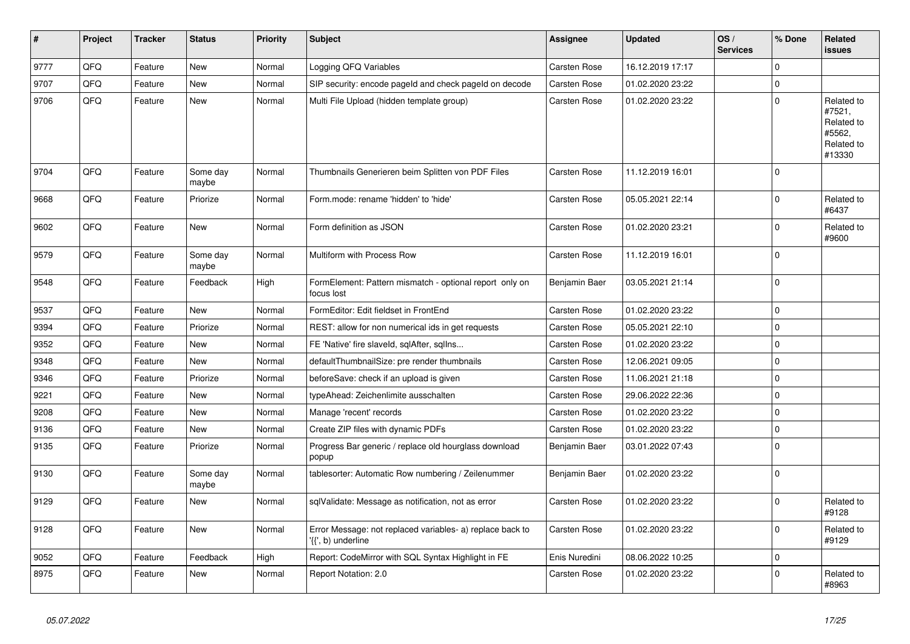| $\vert$ # | Project | <b>Tracker</b> | <b>Status</b>     | <b>Priority</b> | <b>Subject</b>                                                                  | Assignee            | Updated          | OS/<br><b>Services</b> | % Done      | Related<br><b>issues</b>                                             |
|-----------|---------|----------------|-------------------|-----------------|---------------------------------------------------------------------------------|---------------------|------------------|------------------------|-------------|----------------------------------------------------------------------|
| 9777      | QFQ     | Feature        | <b>New</b>        | Normal          | Logging QFQ Variables                                                           | <b>Carsten Rose</b> | 16.12.2019 17:17 |                        | $\Omega$    |                                                                      |
| 9707      | QFQ     | Feature        | <b>New</b>        | Normal          | SIP security: encode pageld and check pageld on decode                          | <b>Carsten Rose</b> | 01.02.2020 23:22 |                        | $\Omega$    |                                                                      |
| 9706      | QFQ     | Feature        | <b>New</b>        | Normal          | Multi File Upload (hidden template group)                                       | Carsten Rose        | 01.02.2020 23:22 |                        | $\mathbf 0$ | Related to<br>#7521,<br>Related to<br>#5562.<br>Related to<br>#13330 |
| 9704      | QFQ     | Feature        | Some day<br>maybe | Normal          | Thumbnails Generieren beim Splitten von PDF Files                               | <b>Carsten Rose</b> | 11.12.2019 16:01 |                        | $\Omega$    |                                                                      |
| 9668      | QFQ     | Feature        | Priorize          | Normal          | Form.mode: rename 'hidden' to 'hide'                                            | <b>Carsten Rose</b> | 05.05.2021 22:14 |                        | $\mathbf 0$ | Related to<br>#6437                                                  |
| 9602      | QFQ     | Feature        | New               | Normal          | Form definition as JSON                                                         | <b>Carsten Rose</b> | 01.02.2020 23:21 |                        | 0           | Related to<br>#9600                                                  |
| 9579      | QFQ     | Feature        | Some day<br>maybe | Normal          | Multiform with Process Row                                                      | <b>Carsten Rose</b> | 11.12.2019 16:01 |                        | $\Omega$    |                                                                      |
| 9548      | QFQ     | Feature        | Feedback          | High            | FormElement: Pattern mismatch - optional report only on<br>focus lost           | Benjamin Baer       | 03.05.2021 21:14 |                        | $\mathbf 0$ |                                                                      |
| 9537      | QFQ     | Feature        | <b>New</b>        | Normal          | FormEditor: Edit fieldset in FrontEnd                                           | <b>Carsten Rose</b> | 01.02.2020 23:22 |                        | $\mathbf 0$ |                                                                      |
| 9394      | QFQ     | Feature        | Priorize          | Normal          | REST: allow for non numerical ids in get requests                               | <b>Carsten Rose</b> | 05.05.2021 22:10 |                        | $\mathbf 0$ |                                                                      |
| 9352      | QFQ     | Feature        | New               | Normal          | FE 'Native' fire slaveld, sqlAfter, sqlIns                                      | <b>Carsten Rose</b> | 01.02.2020 23:22 |                        | $\mathbf 0$ |                                                                      |
| 9348      | QFQ     | Feature        | New               | Normal          | defaultThumbnailSize: pre render thumbnails                                     | Carsten Rose        | 12.06.2021 09:05 |                        | $\mathbf 0$ |                                                                      |
| 9346      | QFQ     | Feature        | Priorize          | Normal          | beforeSave: check if an upload is given                                         | Carsten Rose        | 11.06.2021 21:18 |                        | $\mathbf 0$ |                                                                      |
| 9221      | QFQ     | Feature        | <b>New</b>        | Normal          | typeAhead: Zeichenlimite ausschalten                                            | <b>Carsten Rose</b> | 29.06.2022 22:36 |                        | $\Omega$    |                                                                      |
| 9208      | QFQ     | Feature        | New               | Normal          | Manage 'recent' records                                                         | <b>Carsten Rose</b> | 01.02.2020 23:22 |                        | $\mathbf 0$ |                                                                      |
| 9136      | QFQ     | Feature        | New               | Normal          | Create ZIP files with dynamic PDFs                                              | <b>Carsten Rose</b> | 01.02.2020 23:22 |                        | $\mathbf 0$ |                                                                      |
| 9135      | QFQ     | Feature        | Priorize          | Normal          | Progress Bar generic / replace old hourglass download<br>popup                  | Benjamin Baer       | 03.01.2022 07:43 |                        | $\Omega$    |                                                                      |
| 9130      | QFQ     | Feature        | Some day<br>maybe | Normal          | tablesorter: Automatic Row numbering / Zeilenummer                              | Benjamin Baer       | 01.02.2020 23:22 |                        | $\mathbf 0$ |                                                                      |
| 9129      | QFQ     | Feature        | <b>New</b>        | Normal          | sqlValidate: Message as notification, not as error                              | Carsten Rose        | 01.02.2020 23:22 |                        | $\Omega$    | Related to<br>#9128                                                  |
| 9128      | QFQ     | Feature        | <b>New</b>        | Normal          | Error Message: not replaced variables- a) replace back to<br>'{{', b) underline | <b>Carsten Rose</b> | 01.02.2020 23:22 |                        | $\mathbf 0$ | Related to<br>#9129                                                  |
| 9052      | QFQ     | Feature        | Feedback          | High            | Report: CodeMirror with SQL Syntax Highlight in FE                              | Enis Nuredini       | 08.06.2022 10:25 |                        | $\mathbf 0$ |                                                                      |
| 8975      | QFQ     | Feature        | <b>New</b>        | Normal          | Report Notation: 2.0                                                            | Carsten Rose        | 01.02.2020 23:22 |                        | $\Omega$    | Related to<br>#8963                                                  |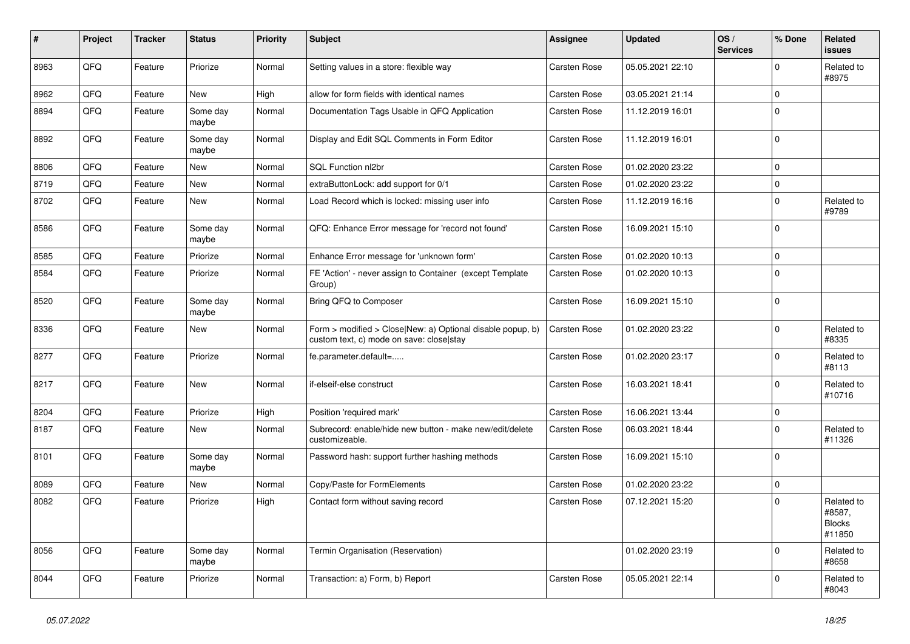| #    | Project | <b>Tracker</b> | <b>Status</b>     | <b>Priority</b> | <b>Subject</b>                                                                                         | <b>Assignee</b>     | <b>Updated</b>   | OS/<br><b>Services</b> | % Done       | Related<br><b>issues</b>                        |
|------|---------|----------------|-------------------|-----------------|--------------------------------------------------------------------------------------------------------|---------------------|------------------|------------------------|--------------|-------------------------------------------------|
| 8963 | QFQ     | Feature        | Priorize          | Normal          | Setting values in a store: flexible way                                                                | Carsten Rose        | 05.05.2021 22:10 |                        | $\Omega$     | Related to<br>#8975                             |
| 8962 | QFQ     | Feature        | <b>New</b>        | High            | allow for form fields with identical names                                                             | <b>Carsten Rose</b> | 03.05.2021 21:14 |                        | $\mathbf 0$  |                                                 |
| 8894 | QFQ     | Feature        | Some day<br>maybe | Normal          | Documentation Tags Usable in QFQ Application                                                           | <b>Carsten Rose</b> | 11.12.2019 16:01 |                        | $\Omega$     |                                                 |
| 8892 | QFQ     | Feature        | Some day<br>maybe | Normal          | Display and Edit SQL Comments in Form Editor                                                           | <b>Carsten Rose</b> | 11.12.2019 16:01 |                        | $\mathbf 0$  |                                                 |
| 8806 | QFQ     | Feature        | New               | Normal          | SQL Function nl2br                                                                                     | <b>Carsten Rose</b> | 01.02.2020 23:22 |                        | $\Omega$     |                                                 |
| 8719 | QFQ     | Feature        | <b>New</b>        | Normal          | extraButtonLock: add support for 0/1                                                                   | <b>Carsten Rose</b> | 01.02.2020 23:22 |                        | $\mathbf 0$  |                                                 |
| 8702 | QFQ     | Feature        | <b>New</b>        | Normal          | Load Record which is locked: missing user info                                                         | <b>Carsten Rose</b> | 11.12.2019 16:16 |                        | $\mathbf{0}$ | Related to<br>#9789                             |
| 8586 | QFQ     | Feature        | Some day<br>maybe | Normal          | QFQ: Enhance Error message for 'record not found'                                                      | <b>Carsten Rose</b> | 16.09.2021 15:10 |                        | $\mathbf 0$  |                                                 |
| 8585 | QFQ     | Feature        | Priorize          | Normal          | Enhance Error message for 'unknown form'                                                               | Carsten Rose        | 01.02.2020 10:13 |                        | $\Omega$     |                                                 |
| 8584 | QFQ     | Feature        | Priorize          | Normal          | FE 'Action' - never assign to Container (except Template<br>Group)                                     | Carsten Rose        | 01.02.2020 10:13 |                        | $\Omega$     |                                                 |
| 8520 | QFQ     | Feature        | Some day<br>maybe | Normal          | Bring QFQ to Composer                                                                                  | <b>Carsten Rose</b> | 16.09.2021 15:10 |                        | $\mathbf 0$  |                                                 |
| 8336 | QFQ     | Feature        | New               | Normal          | Form > modified > Close New: a) Optional disable popup, b)<br>custom text, c) mode on save: close stay | <b>Carsten Rose</b> | 01.02.2020 23:22 |                        | $\mathbf 0$  | Related to<br>#8335                             |
| 8277 | QFQ     | Feature        | Priorize          | Normal          | fe.parameter.default=                                                                                  | Carsten Rose        | 01.02.2020 23:17 |                        | $\Omega$     | Related to<br>#8113                             |
| 8217 | QFQ     | Feature        | <b>New</b>        | Normal          | if-elseif-else construct                                                                               | <b>Carsten Rose</b> | 16.03.2021 18:41 |                        | $\Omega$     | Related to<br>#10716                            |
| 8204 | QFQ     | Feature        | Priorize          | High            | Position 'required mark'                                                                               | <b>Carsten Rose</b> | 16.06.2021 13:44 |                        | $\pmb{0}$    |                                                 |
| 8187 | QFQ     | Feature        | New               | Normal          | Subrecord: enable/hide new button - make new/edit/delete<br>customizeable.                             | <b>Carsten Rose</b> | 06.03.2021 18:44 |                        | $\mathbf 0$  | Related to<br>#11326                            |
| 8101 | QFQ     | Feature        | Some day<br>maybe | Normal          | Password hash: support further hashing methods                                                         | Carsten Rose        | 16.09.2021 15:10 |                        | $\mathbf 0$  |                                                 |
| 8089 | QFQ     | Feature        | New               | Normal          | Copy/Paste for FormElements                                                                            | <b>Carsten Rose</b> | 01.02.2020 23:22 |                        | $\mathbf 0$  |                                                 |
| 8082 | QFQ     | Feature        | Priorize          | High            | Contact form without saving record                                                                     | <b>Carsten Rose</b> | 07.12.2021 15:20 |                        | $\mathbf 0$  | Related to<br>#8587,<br><b>Blocks</b><br>#11850 |
| 8056 | QFQ     | Feature        | Some day<br>maybe | Normal          | Termin Organisation (Reservation)                                                                      |                     | 01.02.2020 23:19 |                        | $\Omega$     | Related to<br>#8658                             |
| 8044 | QFQ     | Feature        | Priorize          | Normal          | Transaction: a) Form, b) Report                                                                        | <b>Carsten Rose</b> | 05.05.2021 22:14 |                        | $\Omega$     | Related to<br>#8043                             |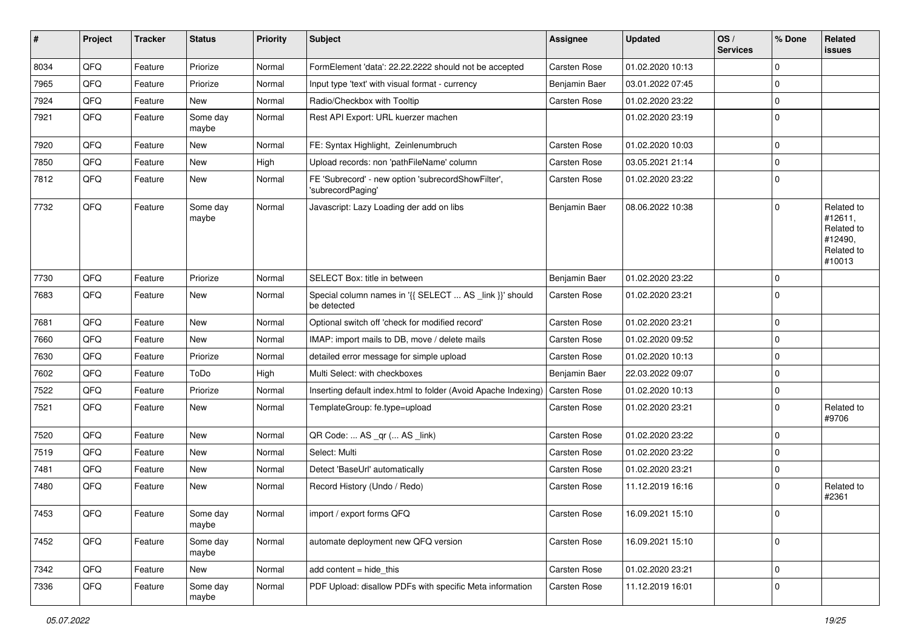| #    | Project | <b>Tracker</b> | <b>Status</b>     | <b>Priority</b> | <b>Subject</b>                                                          | <b>Assignee</b>     | <b>Updated</b>   | OS/<br><b>Services</b> | % Done      | Related<br>issues                                                      |
|------|---------|----------------|-------------------|-----------------|-------------------------------------------------------------------------|---------------------|------------------|------------------------|-------------|------------------------------------------------------------------------|
| 8034 | QFQ     | Feature        | Priorize          | Normal          | FormElement 'data': 22.22.2222 should not be accepted                   | Carsten Rose        | 01.02.2020 10:13 |                        | $\Omega$    |                                                                        |
| 7965 | QFQ     | Feature        | Priorize          | Normal          | Input type 'text' with visual format - currency                         | Benjamin Baer       | 03.01.2022 07:45 |                        | $\Omega$    |                                                                        |
| 7924 | QFQ     | Feature        | New               | Normal          | Radio/Checkbox with Tooltip                                             | Carsten Rose        | 01.02.2020 23:22 |                        | $\mathbf 0$ |                                                                        |
| 7921 | QFQ     | Feature        | Some day<br>maybe | Normal          | Rest API Export: URL kuerzer machen                                     |                     | 01.02.2020 23:19 |                        | $\mathbf 0$ |                                                                        |
| 7920 | QFQ     | Feature        | New               | Normal          | FE: Syntax Highlight, Zeinlenumbruch                                    | Carsten Rose        | 01.02.2020 10:03 |                        | $\Omega$    |                                                                        |
| 7850 | QFQ     | Feature        | New               | High            | Upload records: non 'pathFileName' column                               | Carsten Rose        | 03.05.2021 21:14 |                        | 0           |                                                                        |
| 7812 | QFQ     | Feature        | New               | Normal          | FE 'Subrecord' - new option 'subrecordShowFilter',<br>'subrecordPaging' | <b>Carsten Rose</b> | 01.02.2020 23:22 |                        | $\Omega$    |                                                                        |
| 7732 | QFQ     | Feature        | Some day<br>maybe | Normal          | Javascript: Lazy Loading der add on libs                                | Benjamin Baer       | 08.06.2022 10:38 |                        | $\Omega$    | Related to<br>#12611,<br>Related to<br>#12490,<br>Related to<br>#10013 |
| 7730 | QFQ     | Feature        | Priorize          | Normal          | SELECT Box: title in between                                            | Benjamin Baer       | 01.02.2020 23:22 |                        | $\Omega$    |                                                                        |
| 7683 | QFQ     | Feature        | <b>New</b>        | Normal          | Special column names in '{{ SELECT  AS _link }}' should<br>be detected  | <b>Carsten Rose</b> | 01.02.2020 23:21 |                        | $\Omega$    |                                                                        |
| 7681 | QFQ     | Feature        | <b>New</b>        | Normal          | Optional switch off 'check for modified record'                         | <b>Carsten Rose</b> | 01.02.2020 23:21 |                        | $\Omega$    |                                                                        |
| 7660 | QFQ     | Feature        | <b>New</b>        | Normal          | IMAP: import mails to DB, move / delete mails                           | Carsten Rose        | 01.02.2020 09:52 |                        | $\Omega$    |                                                                        |
| 7630 | QFQ     | Feature        | Priorize          | Normal          | detailed error message for simple upload                                | Carsten Rose        | 01.02.2020 10:13 |                        | $\mathbf 0$ |                                                                        |
| 7602 | QFQ     | Feature        | ToDo              | High            | Multi Select: with checkboxes                                           | Benjamin Baer       | 22.03.2022 09:07 |                        | $\mathbf 0$ |                                                                        |
| 7522 | QFQ     | Feature        | Priorize          | Normal          | Inserting default index.html to folder (Avoid Apache Indexing)          | <b>Carsten Rose</b> | 01.02.2020 10:13 |                        | 0           |                                                                        |
| 7521 | QFQ     | Feature        | New               | Normal          | TemplateGroup: fe.type=upload                                           | Carsten Rose        | 01.02.2020 23:21 |                        | $\Omega$    | Related to<br>#9706                                                    |
| 7520 | QFQ     | Feature        | New               | Normal          | QR Code:  AS _qr ( AS _link)                                            | Carsten Rose        | 01.02.2020 23:22 |                        | $\mathbf 0$ |                                                                        |
| 7519 | QFQ     | Feature        | <b>New</b>        | Normal          | Select: Multi                                                           | Carsten Rose        | 01.02.2020 23:22 |                        | $\Omega$    |                                                                        |
| 7481 | QFQ     | Feature        | <b>New</b>        | Normal          | Detect 'BaseUrl' automatically                                          | Carsten Rose        | 01.02.2020 23:21 |                        | $\mathbf 0$ |                                                                        |
| 7480 | QFQ     | Feature        | New               | Normal          | Record History (Undo / Redo)                                            | Carsten Rose        | 11.12.2019 16:16 |                        | 0           | Related to<br>#2361                                                    |
| 7453 | QFQ     | Feature        | Some day<br>maybe | Normal          | import / export forms QFQ                                               | Carsten Rose        | 16.09.2021 15:10 |                        | $\Omega$    |                                                                        |
| 7452 | QFQ     | Feature        | Some day<br>maybe | Normal          | automate deployment new QFQ version                                     | Carsten Rose        | 16.09.2021 15:10 |                        | $\mathbf 0$ |                                                                        |
| 7342 | QFQ     | Feature        | New               | Normal          | $add content = hide\_this$                                              | Carsten Rose        | 01.02.2020 23:21 |                        | $\mathbf 0$ |                                                                        |
| 7336 | QFQ     | Feature        | Some day<br>maybe | Normal          | PDF Upload: disallow PDFs with specific Meta information                | Carsten Rose        | 11.12.2019 16:01 |                        | 0           |                                                                        |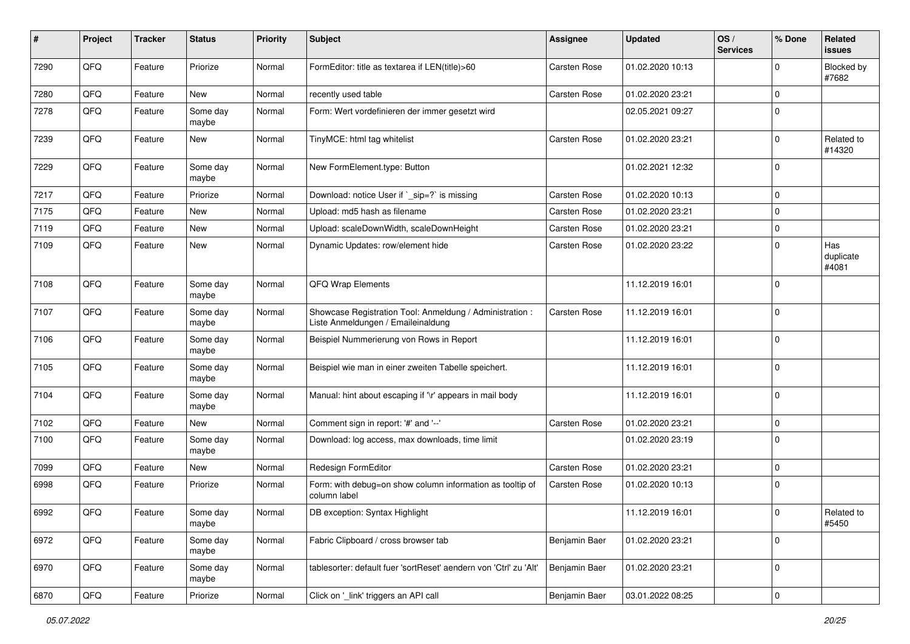| #    | Project | <b>Tracker</b> | <b>Status</b>     | <b>Priority</b> | <b>Subject</b>                                                                                 | <b>Assignee</b>     | <b>Updated</b>   | OS/<br><b>Services</b> | % Done      | Related<br><b>issues</b>  |
|------|---------|----------------|-------------------|-----------------|------------------------------------------------------------------------------------------------|---------------------|------------------|------------------------|-------------|---------------------------|
| 7290 | QFQ     | Feature        | Priorize          | Normal          | FormEditor: title as textarea if LEN(title)>60                                                 | Carsten Rose        | 01.02.2020 10:13 |                        | $\Omega$    | Blocked by<br>#7682       |
| 7280 | QFQ     | Feature        | New               | Normal          | recently used table                                                                            | <b>Carsten Rose</b> | 01.02.2020 23:21 |                        | $\mathbf 0$ |                           |
| 7278 | QFQ     | Feature        | Some day<br>maybe | Normal          | Form: Wert vordefinieren der immer gesetzt wird                                                |                     | 02.05.2021 09:27 |                        | 0           |                           |
| 7239 | QFQ     | Feature        | <b>New</b>        | Normal          | TinyMCE: html tag whitelist                                                                    | <b>Carsten Rose</b> | 01.02.2020 23:21 |                        | $\mathbf 0$ | Related to<br>#14320      |
| 7229 | QFQ     | Feature        | Some day<br>maybe | Normal          | New FormElement.type: Button                                                                   |                     | 01.02.2021 12:32 |                        | $\Omega$    |                           |
| 7217 | QFQ     | Feature        | Priorize          | Normal          | Download: notice User if `_sip=?` is missing                                                   | <b>Carsten Rose</b> | 01.02.2020 10:13 |                        | $\mathbf 0$ |                           |
| 7175 | QFQ     | Feature        | New               | Normal          | Upload: md5 hash as filename                                                                   | Carsten Rose        | 01.02.2020 23:21 |                        | $\mathbf 0$ |                           |
| 7119 | QFQ     | Feature        | <b>New</b>        | Normal          | Upload: scaleDownWidth, scaleDownHeight                                                        | Carsten Rose        | 01.02.2020 23:21 |                        | $\Omega$    |                           |
| 7109 | QFQ     | Feature        | <b>New</b>        | Normal          | Dynamic Updates: row/element hide                                                              | <b>Carsten Rose</b> | 01.02.2020 23:22 |                        | $\Omega$    | Has<br>duplicate<br>#4081 |
| 7108 | QFQ     | Feature        | Some day<br>maybe | Normal          | QFQ Wrap Elements                                                                              |                     | 11.12.2019 16:01 |                        | $\Omega$    |                           |
| 7107 | QFQ     | Feature        | Some day<br>maybe | Normal          | Showcase Registration Tool: Anmeldung / Administration :<br>Liste Anmeldungen / Emaileinaldung | <b>Carsten Rose</b> | 11.12.2019 16:01 |                        | $\mathbf 0$ |                           |
| 7106 | QFQ     | Feature        | Some day<br>maybe | Normal          | Beispiel Nummerierung von Rows in Report                                                       |                     | 11.12.2019 16:01 |                        | $\mathbf 0$ |                           |
| 7105 | QFQ     | Feature        | Some day<br>maybe | Normal          | Beispiel wie man in einer zweiten Tabelle speichert.                                           |                     | 11.12.2019 16:01 |                        | $\mathbf 0$ |                           |
| 7104 | QFQ     | Feature        | Some day<br>maybe | Normal          | Manual: hint about escaping if '\r' appears in mail body                                       |                     | 11.12.2019 16:01 |                        | $\Omega$    |                           |
| 7102 | QFQ     | Feature        | New               | Normal          | Comment sign in report: '#' and '--'                                                           | <b>Carsten Rose</b> | 01.02.2020 23:21 |                        | $\mathbf 0$ |                           |
| 7100 | QFQ     | Feature        | Some day<br>maybe | Normal          | Download: log access, max downloads, time limit                                                |                     | 01.02.2020 23:19 |                        | $\Omega$    |                           |
| 7099 | QFQ     | Feature        | New               | Normal          | Redesign FormEditor                                                                            | <b>Carsten Rose</b> | 01.02.2020 23:21 |                        | $\mathbf 0$ |                           |
| 6998 | QFQ     | Feature        | Priorize          | Normal          | Form: with debug=on show column information as tooltip of<br>column label                      | <b>Carsten Rose</b> | 01.02.2020 10:13 |                        | $\mathbf 0$ |                           |
| 6992 | QFQ     | Feature        | Some day<br>maybe | Normal          | DB exception: Syntax Highlight                                                                 |                     | 11.12.2019 16:01 |                        | $\mathbf 0$ | Related to<br>#5450       |
| 6972 | QFQ     | Feature        | Some day<br>maybe | Normal          | Fabric Clipboard / cross browser tab                                                           | Benjamin Baer       | 01.02.2020 23:21 |                        | $\mathbf 0$ |                           |
| 6970 | QFQ     | Feature        | Some day<br>maybe | Normal          | tablesorter: default fuer 'sortReset' aendern von 'Ctrl' zu 'Alt'                              | Benjamin Baer       | 01.02.2020 23:21 |                        | $\mathbf 0$ |                           |
| 6870 | QFQ     | Feature        | Priorize          | Normal          | Click on '_link' triggers an API call                                                          | Benjamin Baer       | 03.01.2022 08:25 |                        | $\pmb{0}$   |                           |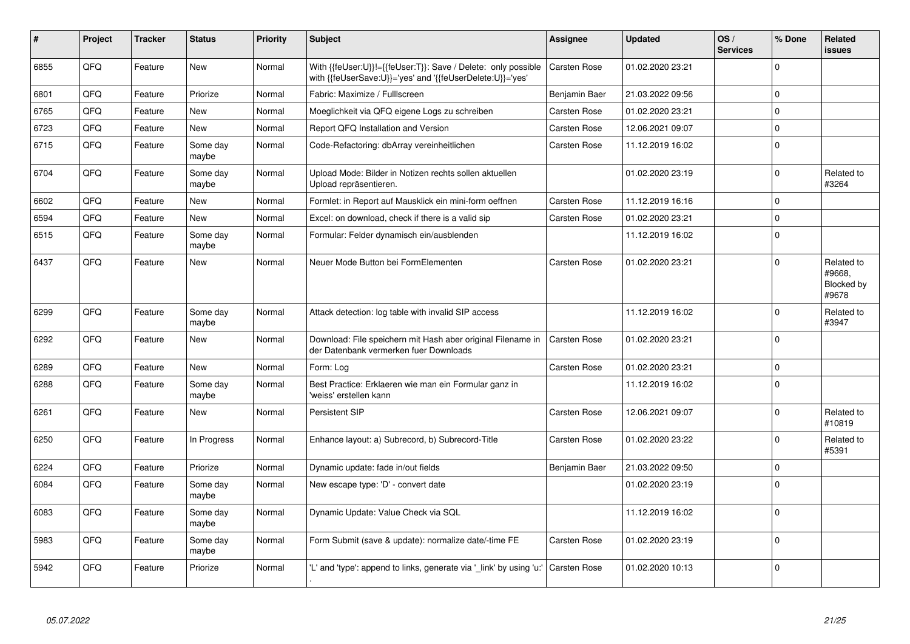| #    | Project    | <b>Tracker</b> | <b>Status</b>     | <b>Priority</b> | <b>Subject</b>                                                                                                             | <b>Assignee</b>     | <b>Updated</b>   | OS/<br><b>Services</b> | % Done      | <b>Related</b><br><b>issues</b>             |
|------|------------|----------------|-------------------|-----------------|----------------------------------------------------------------------------------------------------------------------------|---------------------|------------------|------------------------|-------------|---------------------------------------------|
| 6855 | QFQ        | Feature        | <b>New</b>        | Normal          | With {{feUser:U}}!={{feUser:T}}: Save / Delete: only possible<br>with {{feUserSave:U}}='yes' and '{{feUserDelete:U}}='yes' | Carsten Rose        | 01.02.2020 23:21 |                        | $\Omega$    |                                             |
| 6801 | QFQ        | Feature        | Priorize          | Normal          | Fabric: Maximize / FullIscreen                                                                                             | Benjamin Baer       | 21.03.2022 09:56 |                        | $\mathbf 0$ |                                             |
| 6765 | QFQ        | Feature        | New               | Normal          | Moeglichkeit via QFQ eigene Logs zu schreiben                                                                              | Carsten Rose        | 01.02.2020 23:21 |                        | $\mathbf 0$ |                                             |
| 6723 | QFQ        | Feature        | <b>New</b>        | Normal          | Report QFQ Installation and Version                                                                                        | <b>Carsten Rose</b> | 12.06.2021 09:07 |                        | $\mathbf 0$ |                                             |
| 6715 | QFQ        | Feature        | Some day<br>maybe | Normal          | Code-Refactoring: dbArray vereinheitlichen                                                                                 | Carsten Rose        | 11.12.2019 16:02 |                        | $\pmb{0}$   |                                             |
| 6704 | QFQ        | Feature        | Some day<br>maybe | Normal          | Upload Mode: Bilder in Notizen rechts sollen aktuellen<br>Upload repräsentieren.                                           |                     | 01.02.2020 23:19 |                        | $\Omega$    | Related to<br>#3264                         |
| 6602 | QFQ        | Feature        | <b>New</b>        | Normal          | Formlet: in Report auf Mausklick ein mini-form oeffnen                                                                     | Carsten Rose        | 11.12.2019 16:16 |                        | $\Omega$    |                                             |
| 6594 | QFQ        | Feature        | New               | Normal          | Excel: on download, check if there is a valid sip                                                                          | Carsten Rose        | 01.02.2020 23:21 |                        | $\mathbf 0$ |                                             |
| 6515 | QFQ        | Feature        | Some day<br>maybe | Normal          | Formular: Felder dynamisch ein/ausblenden                                                                                  |                     | 11.12.2019 16:02 |                        | $\mathbf 0$ |                                             |
| 6437 | QFQ        | Feature        | New               | Normal          | Neuer Mode Button bei FormElementen                                                                                        | Carsten Rose        | 01.02.2020 23:21 |                        | $\Omega$    | Related to<br>#9668,<br>Blocked by<br>#9678 |
| 6299 | QFQ        | Feature        | Some day<br>maybe | Normal          | Attack detection: log table with invalid SIP access                                                                        |                     | 11.12.2019 16:02 |                        | $\mathbf 0$ | Related to<br>#3947                         |
| 6292 | <b>OFO</b> | Feature        | New               | Normal          | Download: File speichern mit Hash aber original Filename in<br>der Datenbank vermerken fuer Downloads                      | <b>Carsten Rose</b> | 01.02.2020 23:21 |                        | $\Omega$    |                                             |
| 6289 | QFQ        | Feature        | <b>New</b>        | Normal          | Form: Loa                                                                                                                  | Carsten Rose        | 01.02.2020 23:21 |                        | $\mathbf 0$ |                                             |
| 6288 | QFQ        | Feature        | Some day<br>maybe | Normal          | Best Practice: Erklaeren wie man ein Formular ganz in<br>'weiss' erstellen kann                                            |                     | 11.12.2019 16:02 |                        | $\mathsf 0$ |                                             |
| 6261 | QFQ        | Feature        | New               | Normal          | Persistent SIP                                                                                                             | Carsten Rose        | 12.06.2021 09:07 |                        | $\Omega$    | Related to<br>#10819                        |
| 6250 | QFQ        | Feature        | In Progress       | Normal          | Enhance layout: a) Subrecord, b) Subrecord-Title                                                                           | Carsten Rose        | 01.02.2020 23:22 |                        | $\Omega$    | Related to<br>#5391                         |
| 6224 | QFQ        | Feature        | Priorize          | Normal          | Dynamic update: fade in/out fields                                                                                         | Benjamin Baer       | 21.03.2022 09:50 |                        | $\mathbf 0$ |                                             |
| 6084 | QFQ        | Feature        | Some day<br>maybe | Normal          | New escape type: 'D' - convert date                                                                                        |                     | 01.02.2020 23:19 |                        | $\mathbf 0$ |                                             |
| 6083 | QFQ        | Feature        | Some day<br>maybe | Normal          | Dynamic Update: Value Check via SQL                                                                                        |                     | 11.12.2019 16:02 |                        | $\mathbf 0$ |                                             |
| 5983 | QFQ        | Feature        | Some day<br>maybe | Normal          | Form Submit (save & update): normalize date/-time FE                                                                       | Carsten Rose        | 01.02.2020 23:19 |                        | $\mathbf 0$ |                                             |
| 5942 | QFQ        | Feature        | Priorize          | Normal          | 'L' and 'type': append to links, generate via '_link' by using 'u:'                                                        | <b>Carsten Rose</b> | 01.02.2020 10:13 |                        | $\mathbf 0$ |                                             |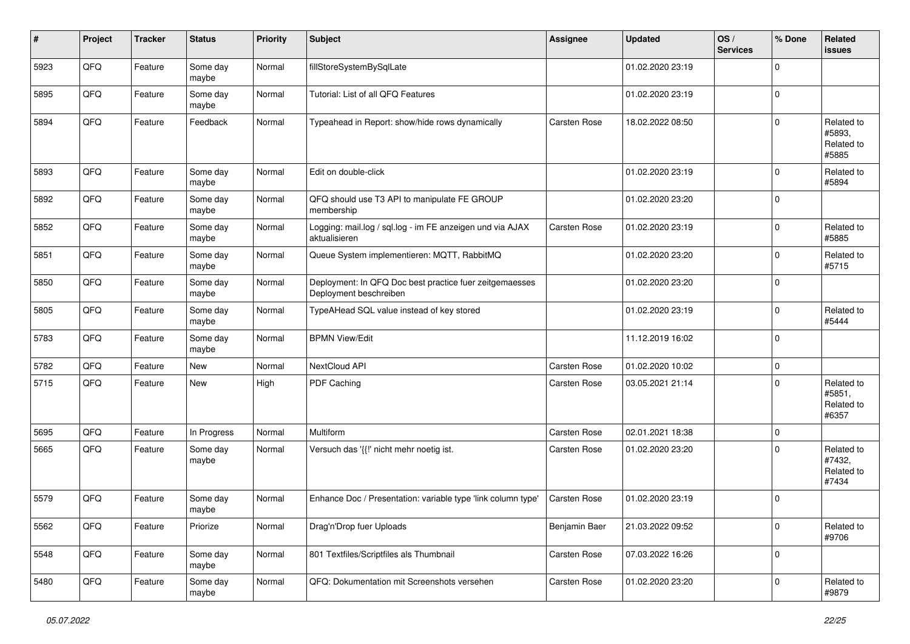| #    | Project | <b>Tracker</b> | <b>Status</b>     | <b>Priority</b> | <b>Subject</b>                                                                    | <b>Assignee</b>     | <b>Updated</b>   | OS/<br><b>Services</b> | % Done      | Related<br>issues                           |
|------|---------|----------------|-------------------|-----------------|-----------------------------------------------------------------------------------|---------------------|------------------|------------------------|-------------|---------------------------------------------|
| 5923 | QFQ     | Feature        | Some day<br>maybe | Normal          | fillStoreSystemBySqlLate                                                          |                     | 01.02.2020 23:19 |                        | $\Omega$    |                                             |
| 5895 | QFQ     | Feature        | Some day<br>maybe | Normal          | Tutorial: List of all QFQ Features                                                |                     | 01.02.2020 23:19 |                        | $\mathbf 0$ |                                             |
| 5894 | QFQ     | Feature        | Feedback          | Normal          | Typeahead in Report: show/hide rows dynamically                                   | <b>Carsten Rose</b> | 18.02.2022 08:50 |                        | $\Omega$    | Related to<br>#5893.<br>Related to<br>#5885 |
| 5893 | QFQ     | Feature        | Some day<br>maybe | Normal          | Edit on double-click                                                              |                     | 01.02.2020 23:19 |                        | $\mathbf 0$ | Related to<br>#5894                         |
| 5892 | QFQ     | Feature        | Some day<br>maybe | Normal          | QFQ should use T3 API to manipulate FE GROUP<br>membership                        |                     | 01.02.2020 23:20 |                        | 0           |                                             |
| 5852 | QFQ     | Feature        | Some day<br>maybe | Normal          | Logging: mail.log / sql.log - im FE anzeigen und via AJAX<br>aktualisieren        | <b>Carsten Rose</b> | 01.02.2020 23:19 |                        | 0           | Related to<br>#5885                         |
| 5851 | QFQ     | Feature        | Some day<br>maybe | Normal          | Queue System implementieren: MQTT, RabbitMQ                                       |                     | 01.02.2020 23:20 |                        | $\Omega$    | Related to<br>#5715                         |
| 5850 | QFQ     | Feature        | Some day<br>maybe | Normal          | Deployment: In QFQ Doc best practice fuer zeitgemaesses<br>Deployment beschreiben |                     | 01.02.2020 23:20 |                        | $\Omega$    |                                             |
| 5805 | QFQ     | Feature        | Some day<br>maybe | Normal          | TypeAHead SQL value instead of key stored                                         |                     | 01.02.2020 23:19 |                        | $\Omega$    | Related to<br>#5444                         |
| 5783 | QFQ     | Feature        | Some day<br>maybe | Normal          | <b>BPMN View/Edit</b>                                                             |                     | 11.12.2019 16:02 |                        | $\mathbf 0$ |                                             |
| 5782 | QFQ     | Feature        | <b>New</b>        | Normal          | NextCloud API                                                                     | <b>Carsten Rose</b> | 01.02.2020 10:02 |                        | $\mathbf 0$ |                                             |
| 5715 | QFQ     | Feature        | New               | High            | PDF Caching                                                                       | <b>Carsten Rose</b> | 03.05.2021 21:14 |                        | $\Omega$    | Related to<br>#5851,<br>Related to<br>#6357 |
| 5695 | QFQ     | Feature        | In Progress       | Normal          | Multiform                                                                         | Carsten Rose        | 02.01.2021 18:38 |                        | $\mathbf 0$ |                                             |
| 5665 | QFQ     | Feature        | Some day<br>maybe | Normal          | Versuch das '{{!' nicht mehr noetig ist.                                          | Carsten Rose        | 01.02.2020 23:20 |                        | $\Omega$    | Related to<br>#7432,<br>Related to<br>#7434 |
| 5579 | QFQ     | Feature        | Some day<br>maybe | Normal          | Enhance Doc / Presentation: variable type 'link column type'                      | Carsten Rose        | 01.02.2020 23:19 |                        | $\Omega$    |                                             |
| 5562 | QFO     | Feature        | Priorize          | Normal          | Drag'n'Drop fuer Uploads                                                          | Benjamin Baer       | 21.03.2022 09:52 |                        | 0           | Related to<br>#9706                         |
| 5548 | QFO     | Feature        | Some day<br>maybe | Normal          | 801 Textfiles/Scriptfiles als Thumbnail                                           | Carsten Rose        | 07.03.2022 16:26 |                        | $\mathbf 0$ |                                             |
| 5480 | QFG     | Feature        | Some day<br>maybe | Normal          | QFQ: Dokumentation mit Screenshots versehen                                       | Carsten Rose        | 01.02.2020 23:20 |                        | $\mathbf 0$ | Related to<br>#9879                         |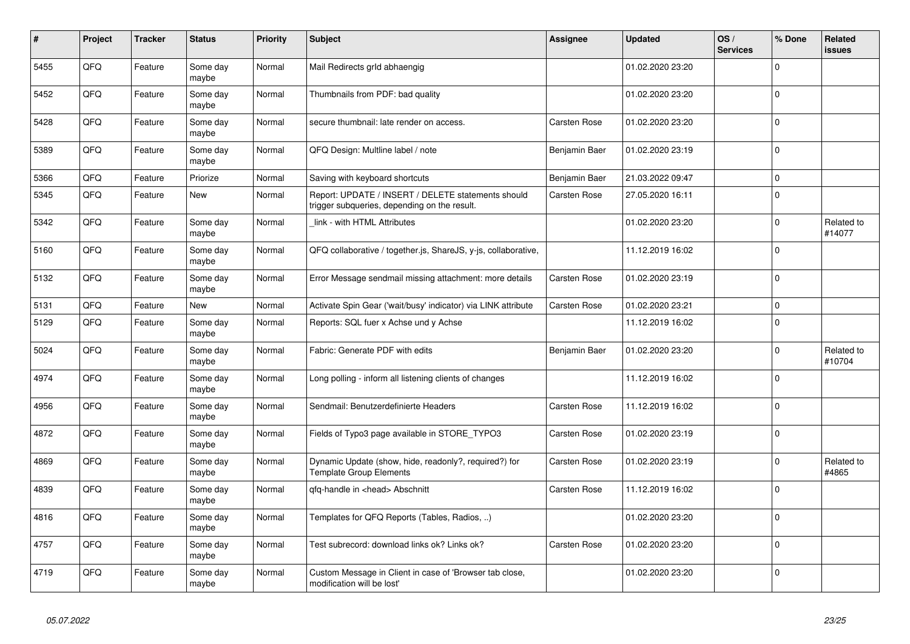| #    | Project | <b>Tracker</b> | <b>Status</b>     | <b>Priority</b> | <b>Subject</b>                                                                                     | <b>Assignee</b>     | <b>Updated</b>   | OS/<br><b>Services</b> | % Done      | Related<br><b>issues</b> |
|------|---------|----------------|-------------------|-----------------|----------------------------------------------------------------------------------------------------|---------------------|------------------|------------------------|-------------|--------------------------|
| 5455 | QFQ     | Feature        | Some day<br>maybe | Normal          | Mail Redirects grld abhaengig                                                                      |                     | 01.02.2020 23:20 |                        | $\Omega$    |                          |
| 5452 | QFQ     | Feature        | Some day<br>maybe | Normal          | Thumbnails from PDF: bad quality                                                                   |                     | 01.02.2020 23:20 |                        | $\mathbf 0$ |                          |
| 5428 | QFQ     | Feature        | Some day<br>maybe | Normal          | secure thumbnail: late render on access.                                                           | Carsten Rose        | 01.02.2020 23:20 |                        | $\Omega$    |                          |
| 5389 | QFQ     | Feature        | Some day<br>maybe | Normal          | QFQ Design: Multline label / note                                                                  | Benjamin Baer       | 01.02.2020 23:19 |                        | $\Omega$    |                          |
| 5366 | QFQ     | Feature        | Priorize          | Normal          | Saving with keyboard shortcuts                                                                     | Benjamin Baer       | 21.03.2022 09:47 |                        | $\mathbf 0$ |                          |
| 5345 | QFQ     | Feature        | <b>New</b>        | Normal          | Report: UPDATE / INSERT / DELETE statements should<br>trigger subqueries, depending on the result. | Carsten Rose        | 27.05.2020 16:11 |                        | $\Omega$    |                          |
| 5342 | QFQ     | Feature        | Some day<br>maybe | Normal          | link - with HTML Attributes                                                                        |                     | 01.02.2020 23:20 |                        | $\mathbf 0$ | Related to<br>#14077     |
| 5160 | QFQ     | Feature        | Some day<br>maybe | Normal          | QFQ collaborative / together.js, ShareJS, y-js, collaborative,                                     |                     | 11.12.2019 16:02 |                        | $\Omega$    |                          |
| 5132 | QFQ     | Feature        | Some day<br>maybe | Normal          | Error Message sendmail missing attachment: more details                                            | Carsten Rose        | 01.02.2020 23:19 |                        | $\Omega$    |                          |
| 5131 | QFQ     | Feature        | <b>New</b>        | Normal          | Activate Spin Gear ('wait/busy' indicator) via LINK attribute                                      | Carsten Rose        | 01.02.2020 23:21 |                        | $\pmb{0}$   |                          |
| 5129 | QFQ     | Feature        | Some day<br>maybe | Normal          | Reports: SQL fuer x Achse und y Achse                                                              |                     | 11.12.2019 16:02 |                        | $\Omega$    |                          |
| 5024 | QFQ     | Feature        | Some day<br>maybe | Normal          | Fabric: Generate PDF with edits                                                                    | Benjamin Baer       | 01.02.2020 23:20 |                        | $\Omega$    | Related to<br>#10704     |
| 4974 | QFQ     | Feature        | Some day<br>maybe | Normal          | Long polling - inform all listening clients of changes                                             |                     | 11.12.2019 16:02 |                        | $\mathbf 0$ |                          |
| 4956 | QFQ     | Feature        | Some day<br>maybe | Normal          | Sendmail: Benutzerdefinierte Headers                                                               | <b>Carsten Rose</b> | 11.12.2019 16:02 |                        | $\Omega$    |                          |
| 4872 | QFQ     | Feature        | Some day<br>maybe | Normal          | Fields of Typo3 page available in STORE_TYPO3                                                      | Carsten Rose        | 01.02.2020 23:19 |                        | $\Omega$    |                          |
| 4869 | QFQ     | Feature        | Some day<br>maybe | Normal          | Dynamic Update (show, hide, readonly?, required?) for<br><b>Template Group Elements</b>            | <b>Carsten Rose</b> | 01.02.2020 23:19 |                        | $\mathbf 0$ | Related to<br>#4865      |
| 4839 | QFQ     | Feature        | Some day<br>maybe | Normal          | gfg-handle in <head> Abschnitt</head>                                                              | <b>Carsten Rose</b> | 11.12.2019 16:02 |                        | $\Omega$    |                          |
| 4816 | QFQ     | Feature        | Some day<br>maybe | Normal          | Templates for QFQ Reports (Tables, Radios, )                                                       |                     | 01.02.2020 23:20 |                        | $\mathbf 0$ |                          |
| 4757 | QFQ     | Feature        | Some day<br>maybe | Normal          | Test subrecord: download links ok? Links ok?                                                       | Carsten Rose        | 01.02.2020 23:20 |                        | $\Omega$    |                          |
| 4719 | QFQ     | Feature        | Some day<br>maybe | Normal          | Custom Message in Client in case of 'Browser tab close,<br>modification will be lost'              |                     | 01.02.2020 23:20 |                        | $\Omega$    |                          |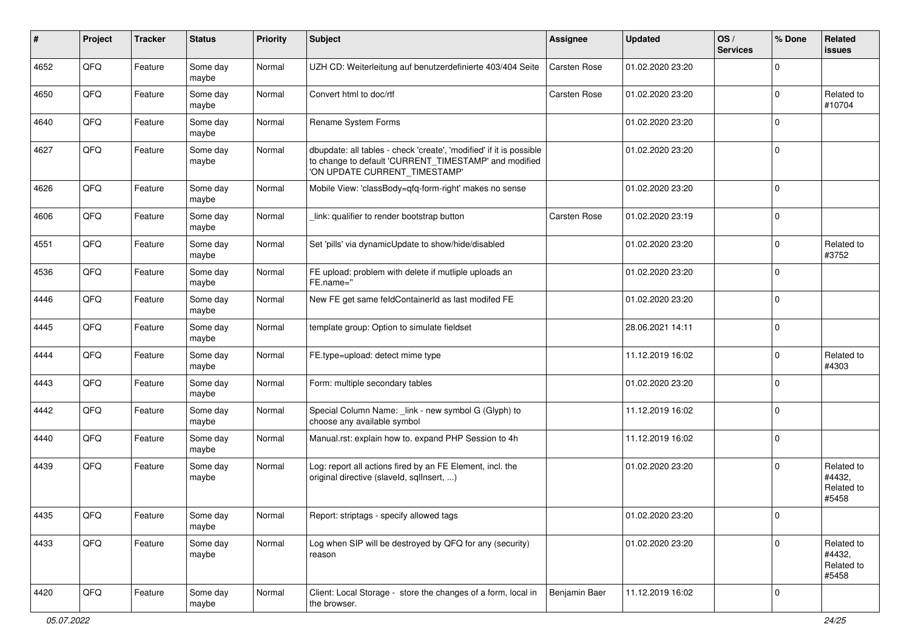| #    | Project        | <b>Tracker</b> | <b>Status</b>     | <b>Priority</b> | <b>Subject</b>                                                                                                                                                | <b>Assignee</b>     | <b>Updated</b>   | OS/<br><b>Services</b> | % Done      | Related<br>issues                           |
|------|----------------|----------------|-------------------|-----------------|---------------------------------------------------------------------------------------------------------------------------------------------------------------|---------------------|------------------|------------------------|-------------|---------------------------------------------|
| 4652 | QFQ            | Feature        | Some day<br>maybe | Normal          | UZH CD: Weiterleitung auf benutzerdefinierte 403/404 Seite                                                                                                    | Carsten Rose        | 01.02.2020 23:20 |                        | $\Omega$    |                                             |
| 4650 | QFQ            | Feature        | Some day<br>maybe | Normal          | Convert html to doc/rtf                                                                                                                                       | Carsten Rose        | 01.02.2020 23:20 |                        | $\mathbf 0$ | Related to<br>#10704                        |
| 4640 | QFQ            | Feature        | Some day<br>maybe | Normal          | Rename System Forms                                                                                                                                           |                     | 01.02.2020 23:20 |                        | $\Omega$    |                                             |
| 4627 | QFQ            | Feature        | Some day<br>maybe | Normal          | dbupdate: all tables - check 'create', 'modified' if it is possible<br>to change to default 'CURRENT_TIMESTAMP' and modified<br>'ON UPDATE CURRENT_TIMESTAMP' |                     | 01.02.2020 23:20 |                        | 0           |                                             |
| 4626 | QFQ            | Feature        | Some day<br>maybe | Normal          | Mobile View: 'classBody=qfq-form-right' makes no sense                                                                                                        |                     | 01.02.2020 23:20 |                        | $\mathbf 0$ |                                             |
| 4606 | QFQ            | Feature        | Some day<br>maybe | Normal          | link: qualifier to render bootstrap button                                                                                                                    | <b>Carsten Rose</b> | 01.02.2020 23:19 |                        | $\mathbf 0$ |                                             |
| 4551 | QFQ            | Feature        | Some day<br>maybe | Normal          | Set 'pills' via dynamicUpdate to show/hide/disabled                                                                                                           |                     | 01.02.2020 23:20 |                        | $\mathbf 0$ | Related to<br>#3752                         |
| 4536 | QFQ            | Feature        | Some day<br>maybe | Normal          | FE upload: problem with delete if mutliple uploads an<br>FE.name="                                                                                            |                     | 01.02.2020 23:20 |                        | $\Omega$    |                                             |
| 4446 | QFQ            | Feature        | Some day<br>maybe | Normal          | New FE get same feldContainerId as last modifed FE                                                                                                            |                     | 01.02.2020 23:20 |                        | $\mathbf 0$ |                                             |
| 4445 | QFQ            | Feature        | Some day<br>maybe | Normal          | template group: Option to simulate fieldset                                                                                                                   |                     | 28.06.2021 14:11 |                        | $\mathbf 0$ |                                             |
| 4444 | QFQ            | Feature        | Some day<br>maybe | Normal          | FE.type=upload: detect mime type                                                                                                                              |                     | 11.12.2019 16:02 |                        | $\Omega$    | Related to<br>#4303                         |
| 4443 | QFQ            | Feature        | Some day<br>maybe | Normal          | Form: multiple secondary tables                                                                                                                               |                     | 01.02.2020 23:20 |                        | $\Omega$    |                                             |
| 4442 | QFQ            | Feature        | Some day<br>maybe | Normal          | Special Column Name: _link - new symbol G (Glyph) to<br>choose any available symbol                                                                           |                     | 11.12.2019 16:02 |                        | $\Omega$    |                                             |
| 4440 | QFQ            | Feature        | Some day<br>maybe | Normal          | Manual.rst: explain how to. expand PHP Session to 4h                                                                                                          |                     | 11.12.2019 16:02 |                        | $\Omega$    |                                             |
| 4439 | QFQ            | Feature        | Some day<br>maybe | Normal          | Log: report all actions fired by an FE Element, incl. the<br>original directive (slaveld, sqllnsert, )                                                        |                     | 01.02.2020 23:20 |                        | 0           | Related to<br>#4432,<br>Related to<br>#5458 |
| 4435 | $\mathsf{QFQ}$ | Feature        | Some day<br>maybe | Normal          | Report: striptags - specify allowed tags                                                                                                                      |                     | 01.02.2020 23:20 |                        | $\pmb{0}$   |                                             |
| 4433 | QFQ            | Feature        | Some day<br>maybe | Normal          | Log when SIP will be destroyed by QFQ for any (security)<br>reason                                                                                            |                     | 01.02.2020 23:20 |                        | $\Omega$    | Related to<br>#4432,<br>Related to<br>#5458 |
| 4420 | QFO            | Feature        | Some day<br>maybe | Normal          | Client: Local Storage - store the changes of a form, local in<br>the browser.                                                                                 | Benjamin Baer       | 11.12.2019 16:02 |                        | $\mathbf 0$ |                                             |